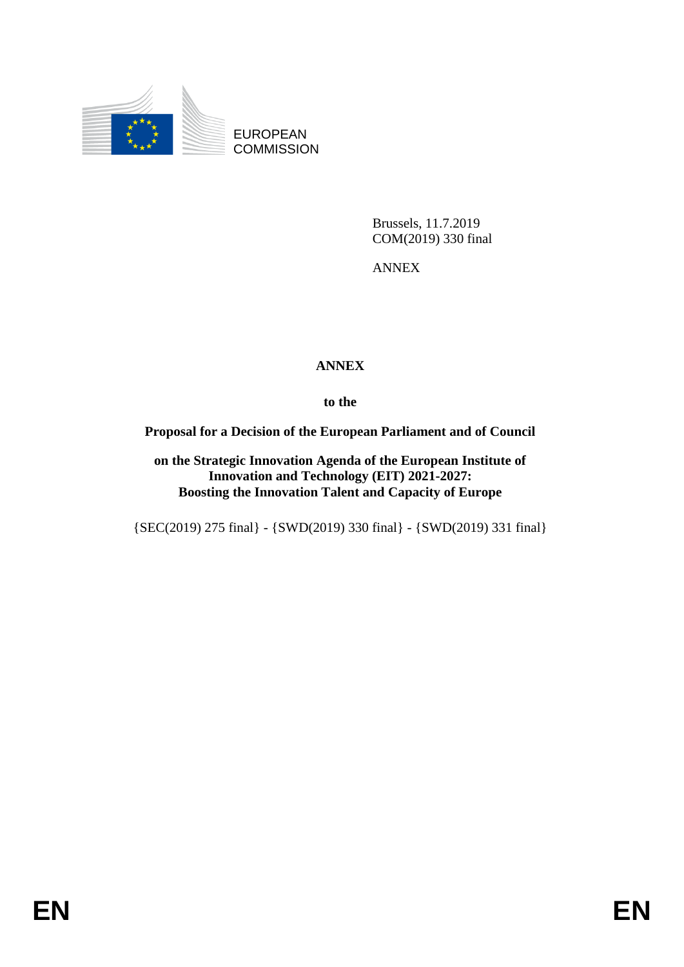

EUROPEAN **COMMISSION** 

> Brussels, 11.7.2019 COM(2019) 330 final

ANNEX

## **ANNEX**

**to the**

#### **Proposal for a Decision of the European Parliament and of Council**

**on the Strategic Innovation Agenda of the European Institute of Innovation and Technology (EIT) 2021-2027: Boosting the Innovation Talent and Capacity of Europe**

{SEC(2019) 275 final} - {SWD(2019) 330 final} - {SWD(2019) 331 final}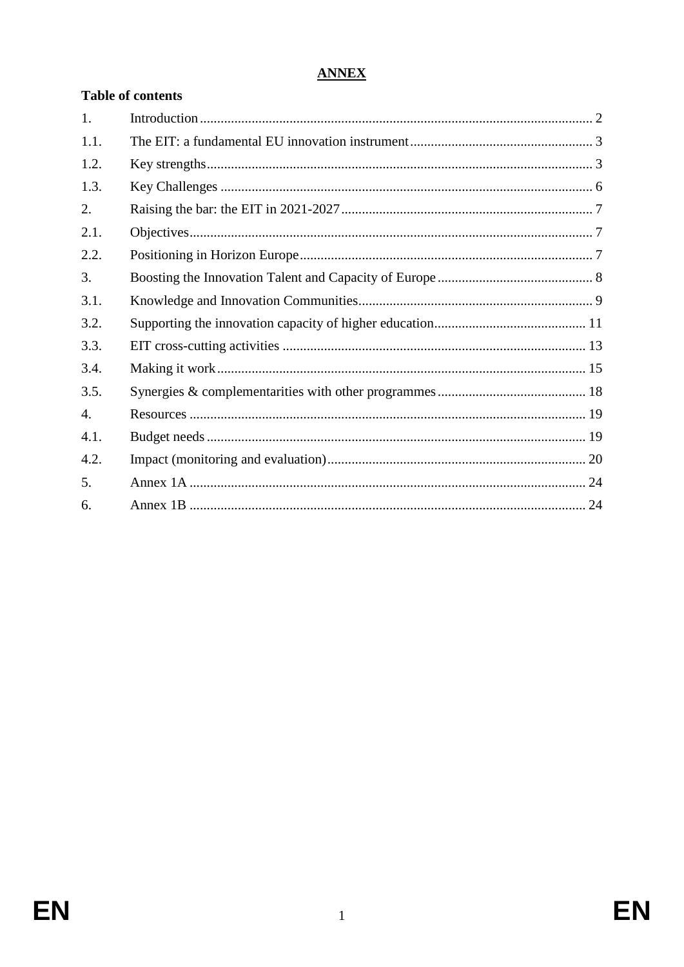# **ANNEX**

| <b>Table of contents</b> |  |  |  |  |  |
|--------------------------|--|--|--|--|--|
| 1.                       |  |  |  |  |  |
| 1.1.                     |  |  |  |  |  |
| 1.2.                     |  |  |  |  |  |
| 1.3.                     |  |  |  |  |  |
| 2.                       |  |  |  |  |  |
| 2.1.                     |  |  |  |  |  |
| 2.2.                     |  |  |  |  |  |
| 3.                       |  |  |  |  |  |
| 3.1.                     |  |  |  |  |  |
| 3.2.                     |  |  |  |  |  |
| 3.3.                     |  |  |  |  |  |
| 3.4.                     |  |  |  |  |  |
| 3.5.                     |  |  |  |  |  |
| $\overline{4}$ .         |  |  |  |  |  |
| 4.1.                     |  |  |  |  |  |
| 4.2.                     |  |  |  |  |  |
| 5.                       |  |  |  |  |  |
| 6.                       |  |  |  |  |  |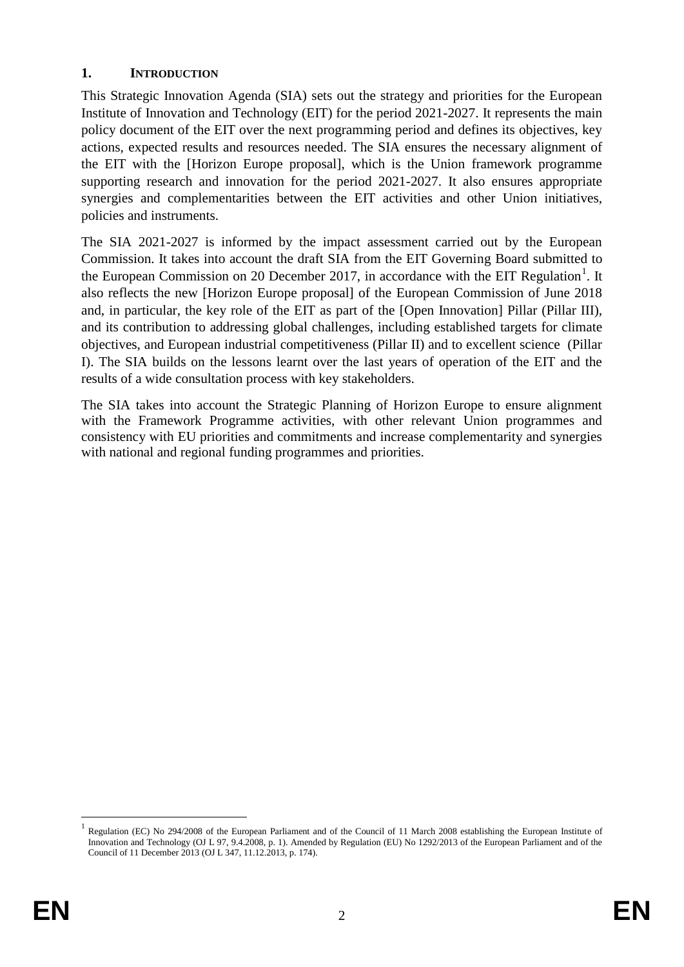#### <span id="page-2-0"></span>**1. INTRODUCTION**

This Strategic Innovation Agenda (SIA) sets out the strategy and priorities for the European Institute of Innovation and Technology (EIT) for the period 2021-2027. It represents the main policy document of the EIT over the next programming period and defines its objectives, key actions, expected results and resources needed. The SIA ensures the necessary alignment of the EIT with the [Horizon Europe proposal], which is the Union framework programme supporting research and innovation for the period 2021-2027. It also ensures appropriate synergies and complementarities between the EIT activities and other Union initiatives, policies and instruments.

The SIA 2021-2027 is informed by the impact assessment carried out by the European Commission. It takes into account the draft SIA from the EIT Governing Board submitted to the European Commission on 20 December 2017, in accordance with the EIT Regulation<sup>1</sup>. It also reflects the new [Horizon Europe proposal] of the European Commission of June 2018 and, in particular, the key role of the EIT as part of the [Open Innovation] Pillar (Pillar III), and its contribution to addressing global challenges, including established targets for climate objectives, and European industrial competitiveness (Pillar II) and to excellent science (Pillar I). The SIA builds on the lessons learnt over the last years of operation of the EIT and the results of a wide consultation process with key stakeholders.

The SIA takes into account the Strategic Planning of Horizon Europe to ensure alignment with the Framework Programme activities, with other relevant Union programmes and consistency with EU priorities and commitments and increase complementarity and synergies with national and regional funding programmes and priorities.

1

<sup>1</sup> Regulation (EC) No 294/2008 of the European Parliament and of the Council of 11 March 2008 establishing the European Institute of Innovation and Technology (OJ L 97, 9.4.2008, p. 1). Amended by Regulation (EU) No 1292/2013 of the European Parliament and of the Council of 11 December 2013 (OJ L 347, 11.12.2013, p. 174).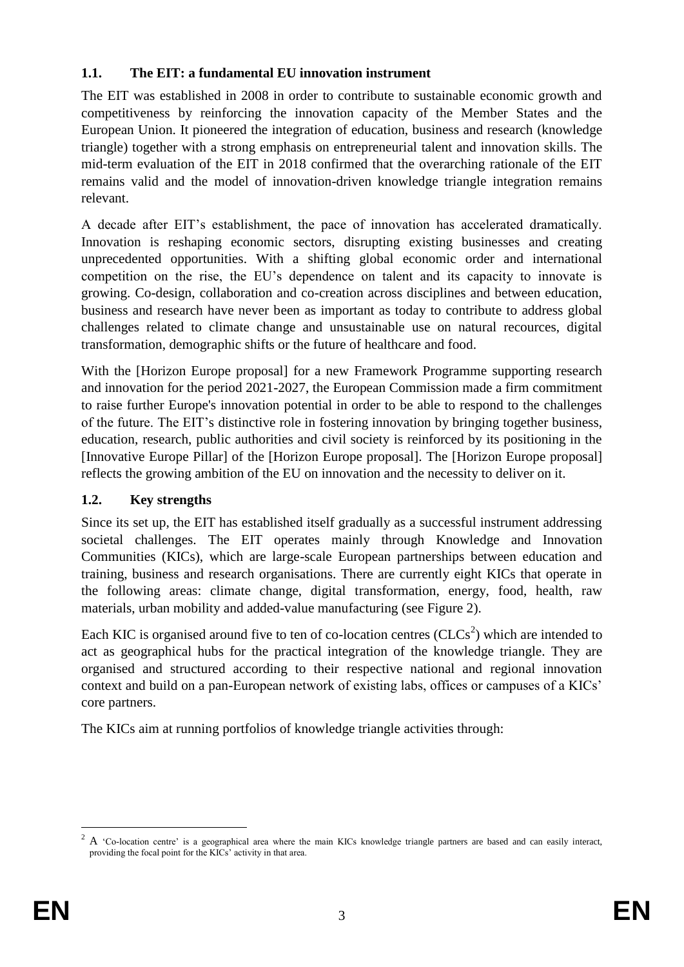## <span id="page-3-0"></span>**1.1. The EIT: a fundamental EU innovation instrument**

The EIT was established in 2008 in order to contribute to sustainable economic growth and competitiveness by reinforcing the innovation capacity of the Member States and the European Union. It pioneered the integration of education, business and research (knowledge triangle) together with a strong emphasis on entrepreneurial talent and innovation skills. The mid-term evaluation of the EIT in 2018 confirmed that the overarching rationale of the EIT remains valid and the model of innovation-driven knowledge triangle integration remains relevant.

A decade after EIT's establishment, the pace of innovation has accelerated dramatically. Innovation is reshaping economic sectors, disrupting existing businesses and creating unprecedented opportunities. With a shifting global economic order and international competition on the rise, the EU's dependence on talent and its capacity to innovate is growing. Co-design, collaboration and co-creation across disciplines and between education, business and research have never been as important as today to contribute to address global challenges related to climate change and unsustainable use on natural recources, digital transformation, demographic shifts or the future of healthcare and food.

With the [Horizon Europe proposal] for a new Framework Programme supporting research and innovation for the period 2021-2027, the European Commission made a firm commitment to raise further Europe's innovation potential in order to be able to respond to the challenges of the future. The EIT's distinctive role in fostering innovation by bringing together business, education, research, public authorities and civil society is reinforced by its positioning in the [Innovative Europe Pillar] of the [Horizon Europe proposal]. The [Horizon Europe proposal] reflects the growing ambition of the EU on innovation and the necessity to deliver on it.

## <span id="page-3-1"></span>**1.2. Key strengths**

Since its set up, the EIT has established itself gradually as a successful instrument addressing societal challenges. The EIT operates mainly through Knowledge and Innovation Communities (KICs), which are large-scale European partnerships between education and training, business and research organisations. There are currently eight KICs that operate in the following areas: climate change, digital transformation, energy, food, health, raw materials, urban mobility and added-value manufacturing (see Figure 2).

Each KIC is organised around five to ten of co-location centres  $(CLCs<sup>2</sup>)$  which are intended to act as geographical hubs for the practical integration of the knowledge triangle. They are organised and structured according to their respective national and regional innovation context and build on a pan-European network of existing labs, offices or campuses of a KICs' core partners.

The KICs aim at running portfolios of knowledge triangle activities through:

<u>.</u>

<sup>&</sup>lt;sup>2</sup> A 'Co-location centre' is a geographical area where the main KICs knowledge triangle partners are based and can easily interact, providing the focal point for the KICs' activity in that area.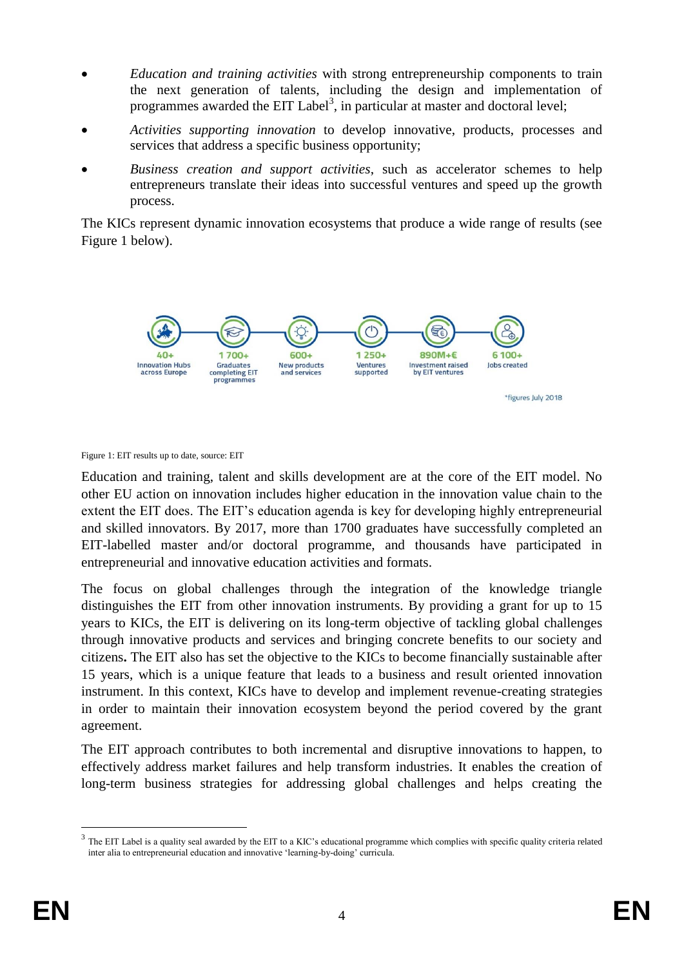- *Education and training activities* with strong entrepreneurship components to train the next generation of talents, including the design and implementation of programmes awarded the EIT Label<sup>3</sup>, in particular at master and doctoral level;
- *Activities supporting innovation* to develop innovative, products, processes and services that address a specific business opportunity;
- *Business creation and support activities*, such as accelerator schemes to help entrepreneurs translate their ideas into successful ventures and speed up the growth process.

The KICs represent dynamic innovation ecosystems that produce a wide range of results (see Figure 1 below).



Figure 1: EIT results up to date, source: EIT

Education and training, talent and skills development are at the core of the EIT model. No other EU action on innovation includes higher education in the innovation value chain to the extent the EIT does. The EIT's education agenda is key for developing highly entrepreneurial and skilled innovators. By 2017, more than 1700 graduates have successfully completed an EIT-labelled master and/or doctoral programme, and thousands have participated in entrepreneurial and innovative education activities and formats.

The focus on global challenges through the integration of the knowledge triangle distinguishes the EIT from other innovation instruments. By providing a grant for up to 15 years to KICs, the EIT is delivering on its long-term objective of tackling global challenges through innovative products and services and bringing concrete benefits to our society and citizens**.** The EIT also has set the objective to the KICs to become financially sustainable after 15 years, which is a unique feature that leads to a business and result oriented innovation instrument. In this context, KICs have to develop and implement revenue-creating strategies in order to maintain their innovation ecosystem beyond the period covered by the grant agreement.

The EIT approach contributes to both incremental and disruptive innovations to happen, to effectively address market failures and help transform industries. It enables the creation of long-term business strategies for addressing global challenges and helps creating the

<u>.</u>

 $3$  The EIT Label is a quality seal awarded by the EIT to a KIC's educational programme which complies with specific quality criteria related inter alia to entrepreneurial education and innovative 'learning-by-doing' curricula.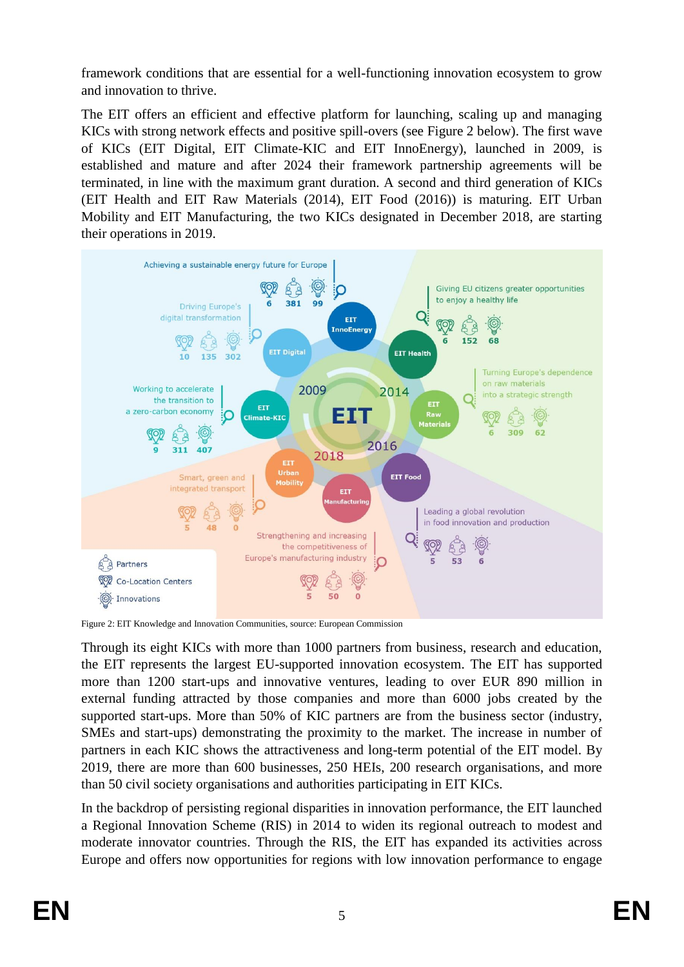framework conditions that are essential for a well-functioning innovation ecosystem to grow and innovation to thrive.

The EIT offers an efficient and effective platform for launching, scaling up and managing KICs with strong network effects and positive spill-overs (see Figure 2 below). The first wave of KICs (EIT Digital, EIT Climate-KIC and EIT InnoEnergy), launched in 2009, is established and mature and after 2024 their framework partnership agreements will be terminated, in line with the maximum grant duration. A second and third generation of KICs (EIT Health and EIT Raw Materials (2014), EIT Food (2016)) is maturing. EIT Urban Mobility and EIT Manufacturing, the two KICs designated in December 2018, are starting their operations in 2019.



Figure 2: EIT Knowledge and Innovation Communities, source: European Commission

Through its eight KICs with more than 1000 partners from business, research and education, the EIT represents the largest EU-supported innovation ecosystem. The EIT has supported more than 1200 start-ups and innovative ventures, leading to over EUR 890 million in external funding attracted by those companies and more than 6000 jobs created by the supported start-ups. More than 50% of KIC partners are from the business sector (industry, SMEs and start-ups) demonstrating the proximity to the market. The increase in number of partners in each KIC shows the attractiveness and long-term potential of the EIT model. By 2019, there are more than 600 businesses, 250 HEIs, 200 research organisations, and more than 50 civil society organisations and authorities participating in EIT KICs.

In the backdrop of persisting regional disparities in innovation performance, the EIT launched a Regional Innovation Scheme (RIS) in 2014 to widen its regional outreach to modest and moderate innovator countries. Through the RIS, the EIT has expanded its activities across Europe and offers now opportunities for regions with low innovation performance to engage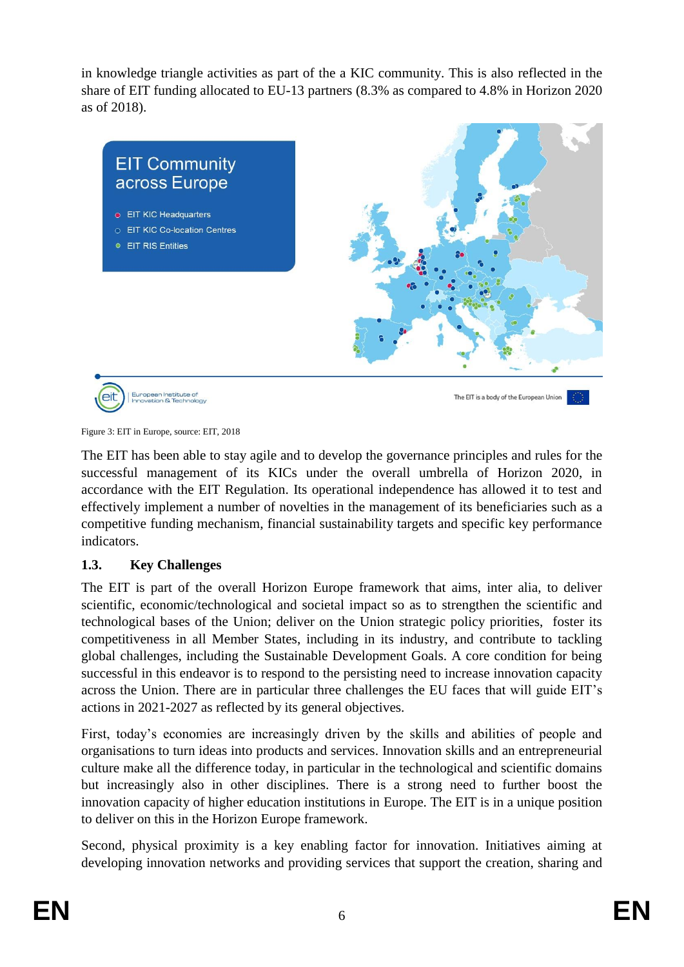in knowledge triangle activities as part of the a KIC community. This is also reflected in the share of EIT funding allocated to EU-13 partners (8.3% as compared to 4.8% in Horizon 2020 as of 2018).



Figure 3: EIT in Europe, source: EIT, 2018

The EIT has been able to stay agile and to develop the governance principles and rules for the successful management of its KICs under the overall umbrella of Horizon 2020, in accordance with the EIT Regulation. Its operational independence has allowed it to test and effectively implement a number of novelties in the management of its beneficiaries such as a competitive funding mechanism, financial sustainability targets and specific key performance indicators.

## <span id="page-6-0"></span>**1.3. Key Challenges**

The EIT is part of the overall Horizon Europe framework that aims, inter alia, to deliver scientific, economic/technological and societal impact so as to strengthen the scientific and technological bases of the Union; deliver on the Union strategic policy priorities, foster its competitiveness in all Member States, including in its industry, and contribute to tackling global challenges, including the Sustainable Development Goals. A core condition for being successful in this endeavor is to respond to the persisting need to increase innovation capacity across the Union. There are in particular three challenges the EU faces that will guide EIT's actions in 2021-2027 as reflected by its general objectives.

First, today's economies are increasingly driven by the skills and abilities of people and organisations to turn ideas into products and services. Innovation skills and an entrepreneurial culture make all the difference today, in particular in the technological and scientific domains but increasingly also in other disciplines. There is a strong need to further boost the innovation capacity of higher education institutions in Europe. The EIT is in a unique position to deliver on this in the Horizon Europe framework.

Second, physical proximity is a key enabling factor for innovation. Initiatives aiming at developing innovation networks and providing services that support the creation, sharing and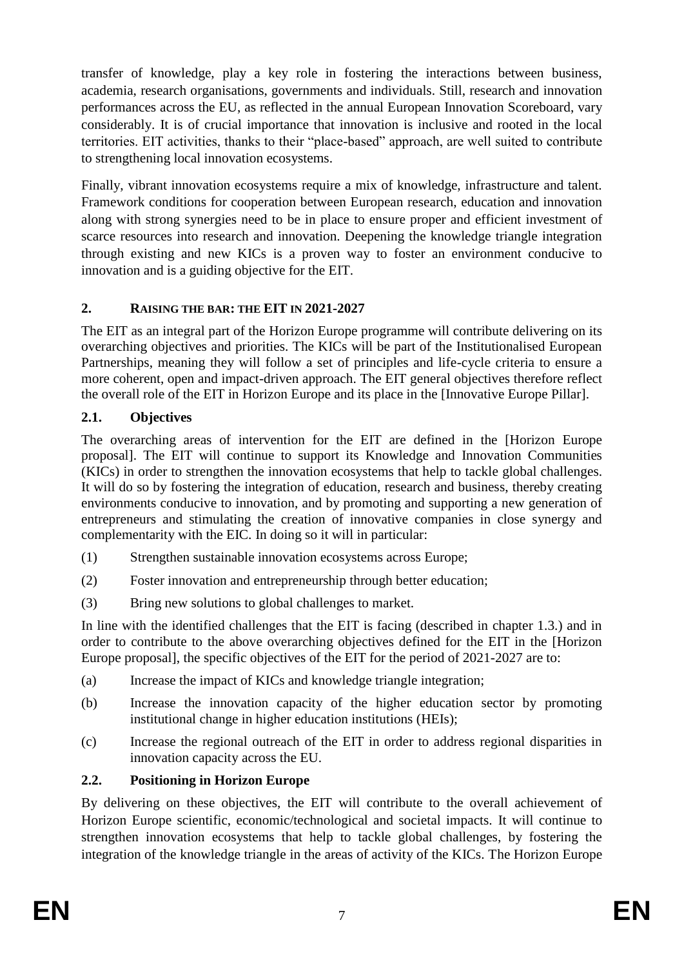transfer of knowledge, play a key role in fostering the interactions between business, academia, research organisations, governments and individuals. Still, research and innovation performances across the EU, as reflected in the annual European Innovation Scoreboard, vary considerably. It is of crucial importance that innovation is inclusive and rooted in the local territories. EIT activities, thanks to their "place-based" approach, are well suited to contribute to strengthening local innovation ecosystems.

Finally, vibrant innovation ecosystems require a mix of knowledge, infrastructure and talent. Framework conditions for cooperation between European research, education and innovation along with strong synergies need to be in place to ensure proper and efficient investment of scarce resources into research and innovation. Deepening the knowledge triangle integration through existing and new KICs is a proven way to foster an environment conducive to innovation and is a guiding objective for the EIT.

## <span id="page-7-0"></span>**2. RAISING THE BAR: THE EIT IN 2021-2027**

The EIT as an integral part of the Horizon Europe programme will contribute delivering on its overarching objectives and priorities. The KICs will be part of the Institutionalised European Partnerships, meaning they will follow a set of principles and life-cycle criteria to ensure a more coherent, open and impact-driven approach. The EIT general objectives therefore reflect the overall role of the EIT in Horizon Europe and its place in the [Innovative Europe Pillar].

## <span id="page-7-1"></span>**2.1. Objectives**

The overarching areas of intervention for the EIT are defined in the [Horizon Europe proposal]. The EIT will continue to support its Knowledge and Innovation Communities (KICs) in order to strengthen the innovation ecosystems that help to tackle global challenges. It will do so by fostering the integration of education, research and business, thereby creating environments conducive to innovation, and by promoting and supporting a new generation of entrepreneurs and stimulating the creation of innovative companies in close synergy and complementarity with the EIC. In doing so it will in particular:

- (1) Strengthen sustainable innovation ecosystems across Europe;
- (2) Foster innovation and entrepreneurship through better education;
- (3) Bring new solutions to global challenges to market.

In line with the identified challenges that the EIT is facing (described in chapter 1.3.) and in order to contribute to the above overarching objectives defined for the EIT in the [Horizon Europe proposal], the specific objectives of the EIT for the period of 2021-2027 are to:

- (a) Increase the impact of KICs and knowledge triangle integration;
- (b) Increase the innovation capacity of the higher education sector by promoting institutional change in higher education institutions (HEIs);
- (c) Increase the regional outreach of the EIT in order to address regional disparities in innovation capacity across the EU.

# <span id="page-7-2"></span>**2.2. Positioning in Horizon Europe**

By delivering on these objectives, the EIT will contribute to the overall achievement of Horizon Europe scientific, economic/technological and societal impacts. It will continue to strengthen innovation ecosystems that help to tackle global challenges, by fostering the integration of the knowledge triangle in the areas of activity of the KICs. The Horizon Europe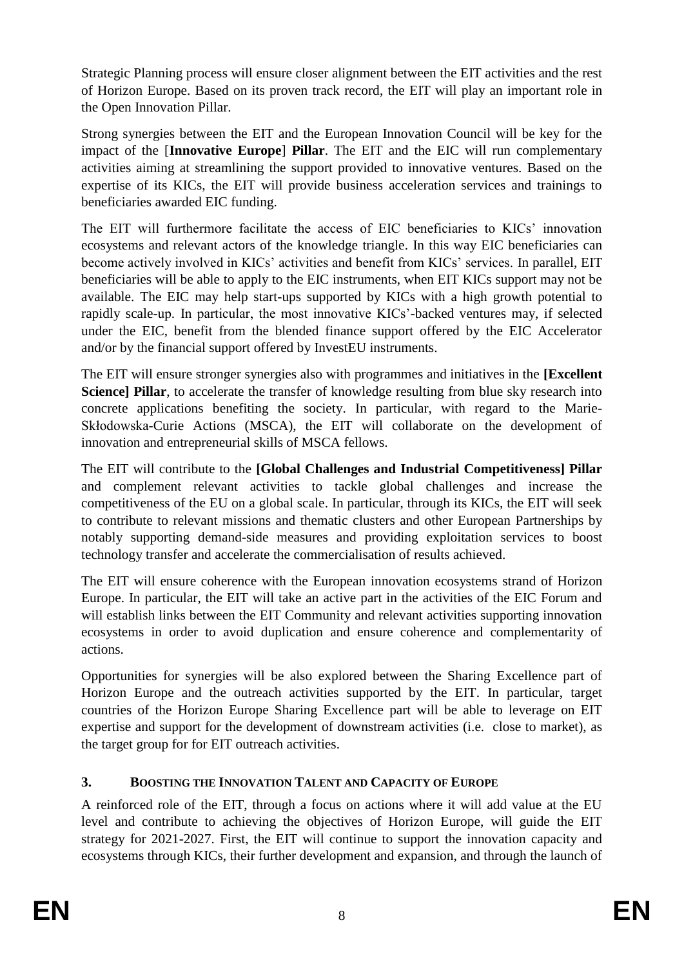Strategic Planning process will ensure closer alignment between the EIT activities and the rest of Horizon Europe. Based on its proven track record, the EIT will play an important role in the Open Innovation Pillar.

Strong synergies between the EIT and the European Innovation Council will be key for the impact of the [**Innovative Europe**] **Pillar**. The EIT and the EIC will run complementary activities aiming at streamlining the support provided to innovative ventures. Based on the expertise of its KICs, the EIT will provide business acceleration services and trainings to beneficiaries awarded EIC funding.

The EIT will furthermore facilitate the access of EIC beneficiaries to KICs' innovation ecosystems and relevant actors of the knowledge triangle. In this way EIC beneficiaries can become actively involved in KICs' activities and benefit from KICs' services. In parallel, EIT beneficiaries will be able to apply to the EIC instruments, when EIT KICs support may not be available. The EIC may help start-ups supported by KICs with a high growth potential to rapidly scale-up. In particular, the most innovative KICs'-backed ventures may, if selected under the EIC, benefit from the blended finance support offered by the EIC Accelerator and/or by the financial support offered by InvestEU instruments.

The EIT will ensure stronger synergies also with programmes and initiatives in the **[Excellent Science] Pillar**, to accelerate the transfer of knowledge resulting from blue sky research into concrete applications benefiting the society. In particular, with regard to the Marie-Skłodowska-Curie Actions (MSCA), the EIT will collaborate on the development of innovation and entrepreneurial skills of MSCA fellows.

The EIT will contribute to the **[Global Challenges and Industrial Competitiveness] Pillar** and complement relevant activities to tackle global challenges and increase the competitiveness of the EU on a global scale. In particular, through its KICs, the EIT will seek to contribute to relevant missions and thematic clusters and other European Partnerships by notably supporting demand-side measures and providing exploitation services to boost technology transfer and accelerate the commercialisation of results achieved.

The EIT will ensure coherence with the European innovation ecosystems strand of Horizon Europe. In particular, the EIT will take an active part in the activities of the EIC Forum and will establish links between the EIT Community and relevant activities supporting innovation ecosystems in order to avoid duplication and ensure coherence and complementarity of actions.

Opportunities for synergies will be also explored between the Sharing Excellence part of Horizon Europe and the outreach activities supported by the EIT. In particular, target countries of the Horizon Europe Sharing Excellence part will be able to leverage on EIT expertise and support for the development of downstream activities (i.e. close to market), as the target group for for EIT outreach activities.

# <span id="page-8-0"></span>**3. BOOSTING THE INNOVATION TALENT AND CAPACITY OF EUROPE**

A reinforced role of the EIT, through a focus on actions where it will add value at the EU level and contribute to achieving the objectives of Horizon Europe, will guide the EIT strategy for 2021-2027. First, the EIT will continue to support the innovation capacity and ecosystems through KICs, their further development and expansion, and through the launch of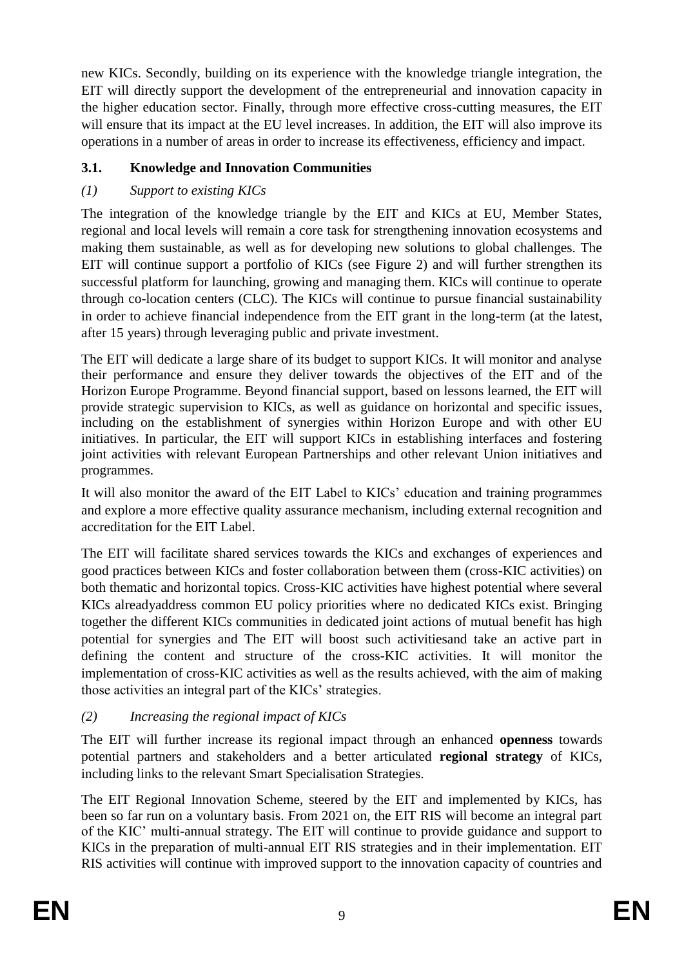new KICs. Secondly, building on its experience with the knowledge triangle integration, the EIT will directly support the development of the entrepreneurial and innovation capacity in the higher education sector. Finally, through more effective cross-cutting measures, the EIT will ensure that its impact at the EU level increases. In addition, the EIT will also improve its operations in a number of areas in order to increase its effectiveness, efficiency and impact.

# <span id="page-9-0"></span>**3.1. Knowledge and Innovation Communities**

# *(1) Support to existing KICs*

The integration of the knowledge triangle by the EIT and KICs at EU, Member States, regional and local levels will remain a core task for strengthening innovation ecosystems and making them sustainable, as well as for developing new solutions to global challenges. The EIT will continue support a portfolio of KICs (see Figure 2) and will further strengthen its successful platform for launching, growing and managing them. KICs will continue to operate through co-location centers (CLC). The KICs will continue to pursue financial sustainability in order to achieve financial independence from the EIT grant in the long-term (at the latest, after 15 years) through leveraging public and private investment.

The EIT will dedicate a large share of its budget to support KICs. It will monitor and analyse their performance and ensure they deliver towards the objectives of the EIT and of the Horizon Europe Programme. Beyond financial support, based on lessons learned, the EIT will provide strategic supervision to KICs, as well as guidance on horizontal and specific issues, including on the establishment of synergies within Horizon Europe and with other EU initiatives. In particular, the EIT will support KICs in establishing interfaces and fostering joint activities with relevant European Partnerships and other relevant Union initiatives and programmes.

It will also monitor the award of the EIT Label to KICs' education and training programmes and explore a more effective quality assurance mechanism, including external recognition and accreditation for the EIT Label.

The EIT will facilitate shared services towards the KICs and exchanges of experiences and good practices between KICs and foster collaboration between them (cross-KIC activities) on both thematic and horizontal topics. Cross-KIC activities have highest potential where several KICs alreadyaddress common EU policy priorities where no dedicated KICs exist. Bringing together the different KICs communities in dedicated joint actions of mutual benefit has high potential for synergies and The EIT will boost such activitiesand take an active part in defining the content and structure of the cross-KIC activities. It will monitor the implementation of cross-KIC activities as well as the results achieved, with the aim of making those activities an integral part of the KICs' strategies.

# *(2) Increasing the regional impact of KICs*

The EIT will further increase its regional impact through an enhanced **openness** towards potential partners and stakeholders and a better articulated **regional strategy** of KICs, including links to the relevant Smart Specialisation Strategies.

The EIT Regional Innovation Scheme, steered by the EIT and implemented by KICs, has been so far run on a voluntary basis. From 2021 on, the EIT RIS will become an integral part of the KIC' multi-annual strategy. The EIT will continue to provide guidance and support to KICs in the preparation of multi-annual EIT RIS strategies and in their implementation. EIT RIS activities will continue with improved support to the innovation capacity of countries and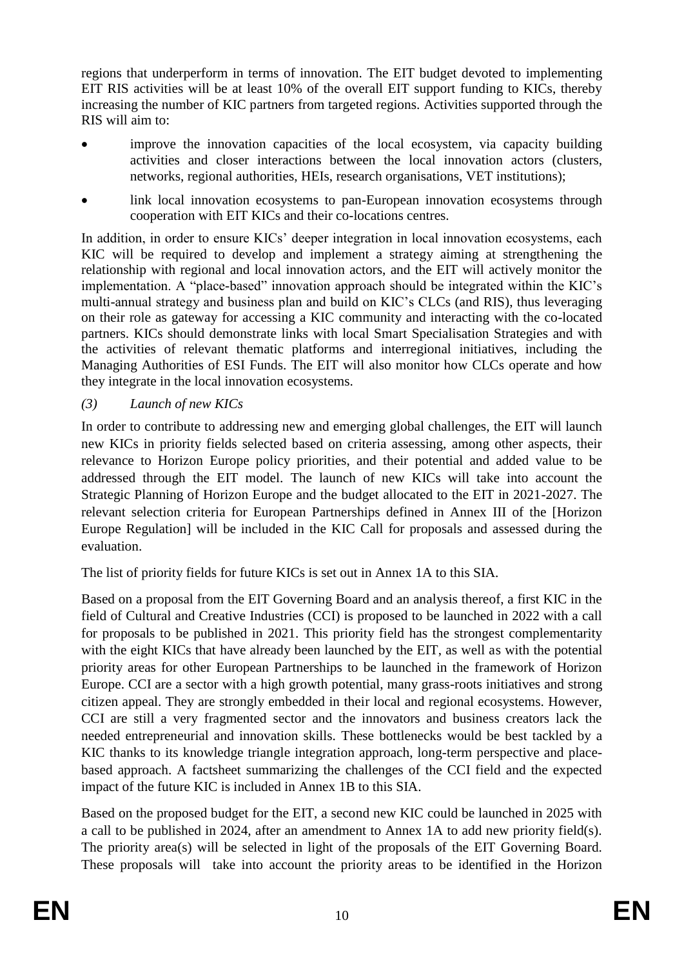regions that underperform in terms of innovation. The EIT budget devoted to implementing EIT RIS activities will be at least 10% of the overall EIT support funding to KICs, thereby increasing the number of KIC partners from targeted regions. Activities supported through the RIS will aim to:

- improve the innovation capacities of the local ecosystem, via capacity building activities and closer interactions between the local innovation actors (clusters, networks, regional authorities, HEIs, research organisations, VET institutions);
- link local innovation ecosystems to pan-European innovation ecosystems through cooperation with EIT KICs and their co-locations centres.

In addition, in order to ensure KICs' deeper integration in local innovation ecosystems, each KIC will be required to develop and implement a strategy aiming at strengthening the relationship with regional and local innovation actors, and the EIT will actively monitor the implementation. A "place-based" innovation approach should be integrated within the KIC's multi-annual strategy and business plan and build on KIC's CLCs (and RIS), thus leveraging on their role as gateway for accessing a KIC community and interacting with the co-located partners. KICs should demonstrate links with local Smart Specialisation Strategies and with the activities of relevant thematic platforms and interregional initiatives, including the Managing Authorities of ESI Funds. The EIT will also monitor how CLCs operate and how they integrate in the local innovation ecosystems.

*(3) Launch of new KICs*

In order to contribute to addressing new and emerging global challenges, the EIT will launch new KICs in priority fields selected based on criteria assessing, among other aspects, their relevance to Horizon Europe policy priorities, and their potential and added value to be addressed through the EIT model. The launch of new KICs will take into account the Strategic Planning of Horizon Europe and the budget allocated to the EIT in 2021-2027. The relevant selection criteria for European Partnerships defined in Annex III of the [Horizon Europe Regulation] will be included in the KIC Call for proposals and assessed during the evaluation.

The list of priority fields for future KICs is set out in Annex 1A to this SIA.

Based on a proposal from the EIT Governing Board and an analysis thereof, a first KIC in the field of Cultural and Creative Industries (CCI) is proposed to be launched in 2022 with a call for proposals to be published in 2021. This priority field has the strongest complementarity with the eight KICs that have already been launched by the EIT, as well as with the potential priority areas for other European Partnerships to be launched in the framework of Horizon Europe. CCI are a sector with a high growth potential, many grass-roots initiatives and strong citizen appeal. They are strongly embedded in their local and regional ecosystems. However, CCI are still a very fragmented sector and the innovators and business creators lack the needed entrepreneurial and innovation skills. These bottlenecks would be best tackled by a KIC thanks to its knowledge triangle integration approach, long-term perspective and placebased approach. A factsheet summarizing the challenges of the CCI field and the expected impact of the future KIC is included in Annex 1B to this SIA.

Based on the proposed budget for the EIT, a second new KIC could be launched in 2025 with a call to be published in 2024, after an amendment to Annex 1A to add new priority field(s). The priority area(s) will be selected in light of the proposals of the EIT Governing Board. These proposals will take into account the priority areas to be identified in the Horizon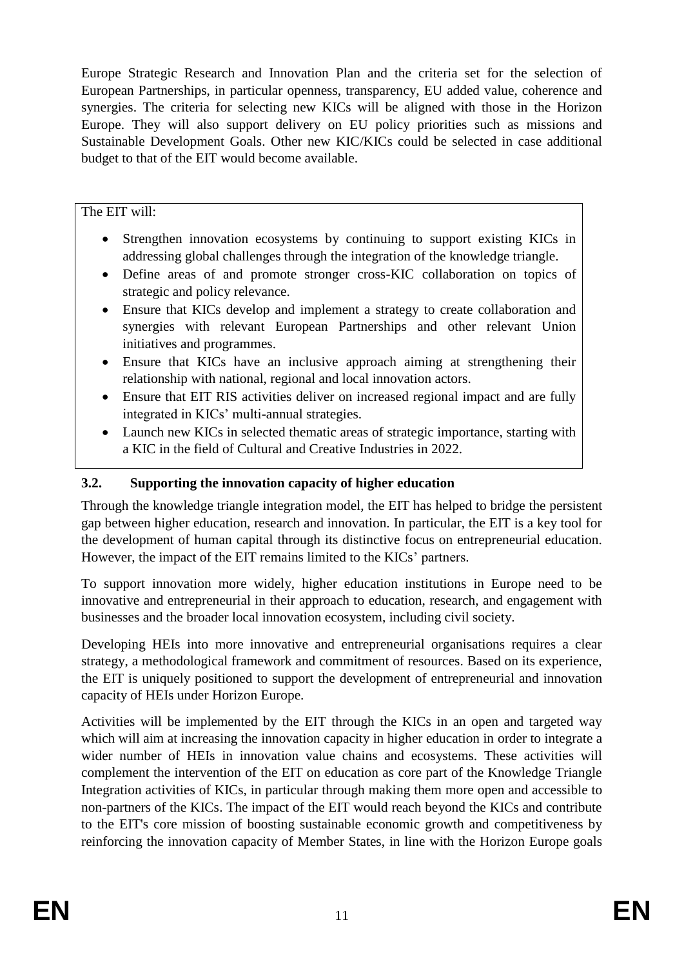Europe Strategic Research and Innovation Plan and the criteria set for the selection of European Partnerships, in particular openness, transparency, EU added value, coherence and synergies. The criteria for selecting new KICs will be aligned with those in the Horizon Europe. They will also support delivery on EU policy priorities such as missions and Sustainable Development Goals. Other new KIC/KICs could be selected in case additional budget to that of the EIT would become available.

The EIT will:

- Strengthen innovation ecosystems by continuing to support existing KICs in addressing global challenges through the integration of the knowledge triangle.
- Define areas of and promote stronger cross-KIC collaboration on topics of strategic and policy relevance.
- Ensure that KICs develop and implement a strategy to create collaboration and synergies with relevant European Partnerships and other relevant Union initiatives and programmes.
- Ensure that KICs have an inclusive approach aiming at strengthening their relationship with national, regional and local innovation actors.
- Ensure that EIT RIS activities deliver on increased regional impact and are fully integrated in KICs' multi-annual strategies.
- Launch new KICs in selected thematic areas of strategic importance, starting with a KIC in the field of Cultural and Creative Industries in 2022.

## <span id="page-11-0"></span>**3.2. Supporting the innovation capacity of higher education**

Through the knowledge triangle integration model, the EIT has helped to bridge the persistent gap between higher education, research and innovation. In particular, the EIT is a key tool for the development of human capital through its distinctive focus on entrepreneurial education. However, the impact of the EIT remains limited to the KICs' partners.

To support innovation more widely, higher education institutions in Europe need to be innovative and entrepreneurial in their approach to education, research, and engagement with businesses and the broader local innovation ecosystem, including civil society.

Developing HEIs into more innovative and entrepreneurial organisations requires a clear strategy, a methodological framework and commitment of resources. Based on its experience, the EIT is uniquely positioned to support the development of entrepreneurial and innovation capacity of HEIs under Horizon Europe.

Activities will be implemented by the EIT through the KICs in an open and targeted way which will aim at increasing the innovation capacity in higher education in order to integrate a wider number of HEIs in innovation value chains and ecosystems. These activities will complement the intervention of the EIT on education as core part of the Knowledge Triangle Integration activities of KICs, in particular through making them more open and accessible to non-partners of the KICs. The impact of the EIT would reach beyond the KICs and contribute to the EIT's core mission of boosting sustainable economic growth and competitiveness by reinforcing the innovation capacity of Member States, in line with the Horizon Europe goals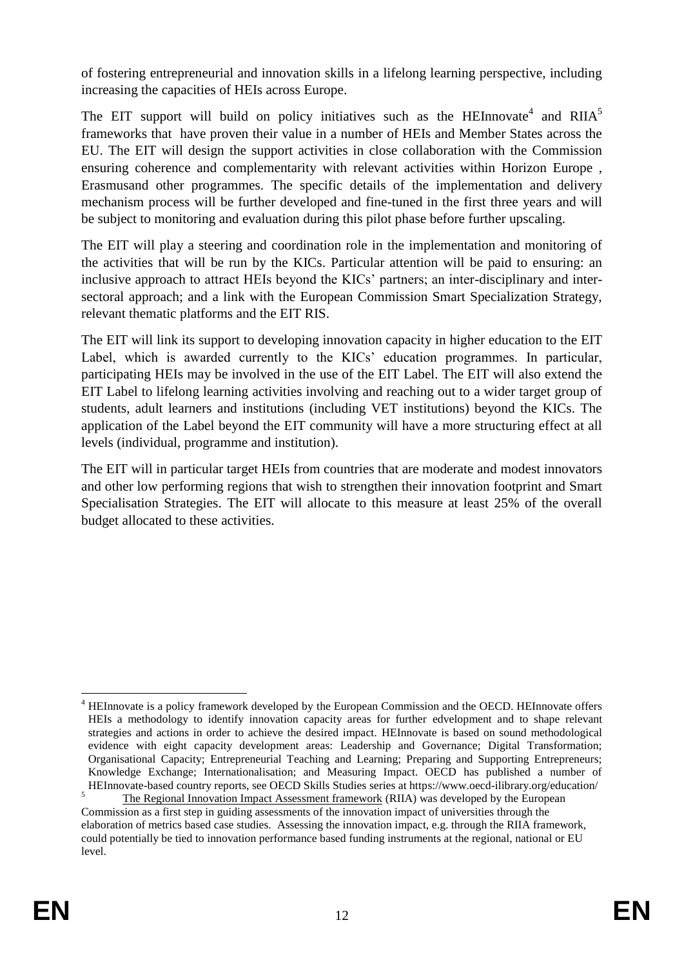of fostering entrepreneurial and innovation skills in a lifelong learning perspective, including increasing the capacities of HEIs across Europe.

The EIT support will build on policy initiatives such as the HEInnovate<sup>4</sup> and RIIA<sup>5</sup> frameworks that have proven their value in a number of HEIs and Member States across the EU. The EIT will design the support activities in close collaboration with the Commission ensuring coherence and complementarity with relevant activities within Horizon Europe , Erasmusand other programmes. The specific details of the implementation and delivery mechanism process will be further developed and fine-tuned in the first three years and will be subject to monitoring and evaluation during this pilot phase before further upscaling.

The EIT will play a steering and coordination role in the implementation and monitoring of the activities that will be run by the KICs. Particular attention will be paid to ensuring: an inclusive approach to attract HEIs beyond the KICs' partners; an inter-disciplinary and intersectoral approach; and a link with the European Commission Smart Specialization Strategy, relevant thematic platforms and the EIT RIS.

The EIT will link its support to developing innovation capacity in higher education to the EIT Label, which is awarded currently to the KICs' education programmes. In particular, participating HEIs may be involved in the use of the EIT Label. The EIT will also extend the EIT Label to lifelong learning activities involving and reaching out to a wider target group of students, adult learners and institutions (including VET institutions) beyond the KICs. The application of the Label beyond the EIT community will have a more structuring effect at all levels (individual, programme and institution).

The EIT will in particular target HEIs from countries that are moderate and modest innovators and other low performing regions that wish to strengthen their innovation footprint and Smart Specialisation Strategies. The EIT will allocate to this measure at least 25% of the overall budget allocated to these activities.

<sup>1</sup> <sup>4</sup> HEInnovate is a policy framework developed by the European Commission and the OECD. HEInnovate offers HEIs a methodology to identify innovation capacity areas for further edvelopment and to shape relevant strategies and actions in order to achieve the desired impact. HEInnovate is based on sound methodological evidence with eight capacity development areas: Leadership and Governance; Digital Transformation; Organisational Capacity; Entrepreneurial Teaching and Learning; Preparing and Supporting Entrepreneurs; Knowledge Exchange; Internationalisation; and Measuring Impact. OECD has published a number of HEInnovate-based country reports, see OECD Skills Studies series at https://www.oecd-ilibrary.org/education/

<sup>5</sup> The Regional Innovation Impact Assessment framework (RIIA) was developed by the European Commission as a first step in guiding assessments of the innovation impact of universities through the elaboration of metrics based case studies. Assessing the innovation impact, e.g. through the RIIA framework, could potentially be tied to innovation performance based funding instruments at the regional, national or EU level.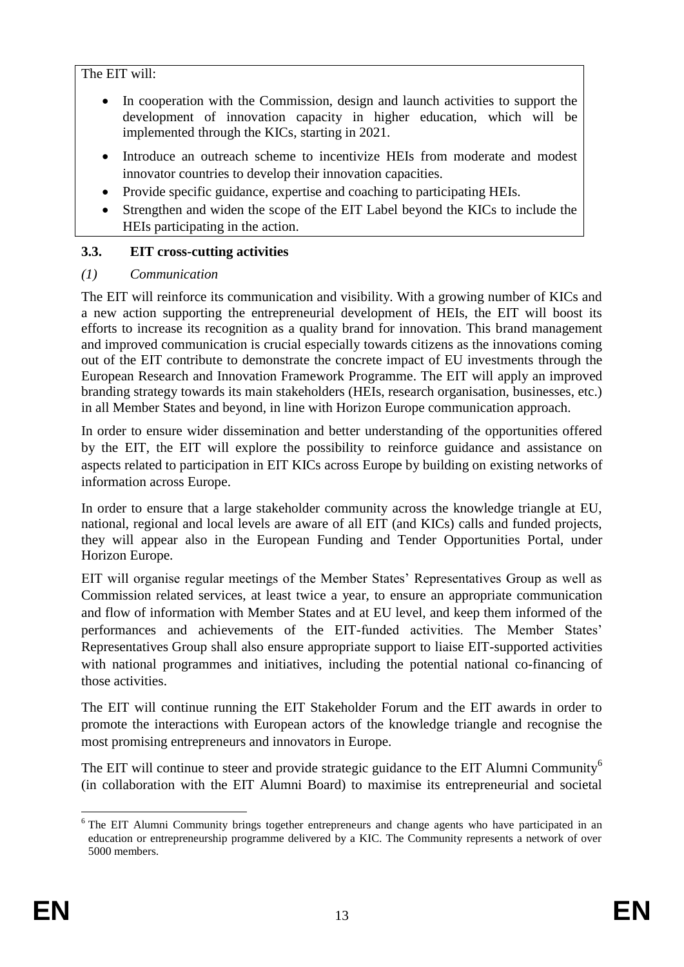#### The EIT will:

- In cooperation with the Commission, design and launch activities to support the development of innovation capacity in higher education, which will be implemented through the KICs, starting in 2021.
- Introduce an outreach scheme to incentivize HEIs from moderate and modest innovator countries to develop their innovation capacities.
- Provide specific guidance, expertise and coaching to participating HEIs.
- Strengthen and widen the scope of the EIT Label beyond the KICs to include the HEIs participating in the action.

#### <span id="page-13-0"></span>**3.3. EIT cross-cutting activities**

#### *(1) Communication*

The EIT will reinforce its communication and visibility. With a growing number of KICs and a new action supporting the entrepreneurial development of HEIs, the EIT will boost its efforts to increase its recognition as a quality brand for innovation. This brand management and improved communication is crucial especially towards citizens as the innovations coming out of the EIT contribute to demonstrate the concrete impact of EU investments through the European Research and Innovation Framework Programme. The EIT will apply an improved branding strategy towards its main stakeholders (HEIs, research organisation, businesses, etc.) in all Member States and beyond, in line with Horizon Europe communication approach.

In order to ensure wider dissemination and better understanding of the opportunities offered by the EIT, the EIT will explore the possibility to reinforce guidance and assistance on aspects related to participation in EIT KICs across Europe by building on existing networks of information across Europe.

In order to ensure that a large stakeholder community across the knowledge triangle at EU, national, regional and local levels are aware of all EIT (and KICs) calls and funded projects, they will appear also in the European Funding and Tender Opportunities Portal, under Horizon Europe.

EIT will organise regular meetings of the Member States' Representatives Group as well as Commission related services, at least twice a year, to ensure an appropriate communication and flow of information with Member States and at EU level, and keep them informed of the performances and achievements of the EIT-funded activities. The Member States' Representatives Group shall also ensure appropriate support to liaise EIT-supported activities with national programmes and initiatives, including the potential national co-financing of those activities.

The EIT will continue running the EIT Stakeholder Forum and the EIT awards in order to promote the interactions with European actors of the knowledge triangle and recognise the most promising entrepreneurs and innovators in Europe.

The EIT will continue to steer and provide strategic guidance to the EIT Alumni Community<sup>6</sup> (in collaboration with the EIT Alumni Board) to maximise its entrepreneurial and societal

1

<sup>&</sup>lt;sup>6</sup> The EIT Alumni Community brings together entrepreneurs and change agents who have participated in an education or entrepreneurship programme delivered by a KIC. The Community represents a network of over 5000 members.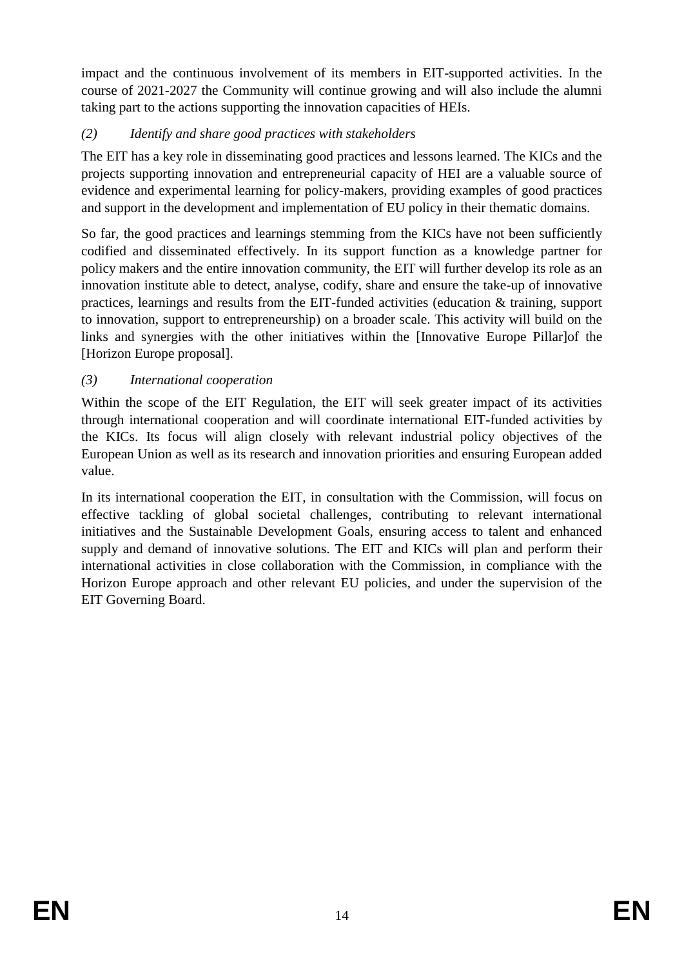impact and the continuous involvement of its members in EIT-supported activities. In the course of 2021-2027 the Community will continue growing and will also include the alumni taking part to the actions supporting the innovation capacities of HEIs.

## *(2) Identify and share good practices with stakeholders*

The EIT has a key role in disseminating good practices and lessons learned. The KICs and the projects supporting innovation and entrepreneurial capacity of HEI are a valuable source of evidence and experimental learning for policy-makers, providing examples of good practices and support in the development and implementation of EU policy in their thematic domains.

So far, the good practices and learnings stemming from the KICs have not been sufficiently codified and disseminated effectively. In its support function as a knowledge partner for policy makers and the entire innovation community, the EIT will further develop its role as an innovation institute able to detect, analyse, codify, share and ensure the take-up of innovative practices, learnings and results from the EIT-funded activities (education & training, support to innovation, support to entrepreneurship) on a broader scale. This activity will build on the links and synergies with the other initiatives within the [Innovative Europe Pillar]of the [Horizon Europe proposal].

## *(3) International cooperation*

Within the scope of the EIT Regulation, the EIT will seek greater impact of its activities through international cooperation and will coordinate international EIT-funded activities by the KICs. Its focus will align closely with relevant industrial policy objectives of the European Union as well as its research and innovation priorities and ensuring European added value.

In its international cooperation the EIT, in consultation with the Commission, will focus on effective tackling of global societal challenges, contributing to relevant international initiatives and the Sustainable Development Goals, ensuring access to talent and enhanced supply and demand of innovative solutions. The EIT and KICs will plan and perform their international activities in close collaboration with the Commission, in compliance with the Horizon Europe approach and other relevant EU policies, and under the supervision of the EIT Governing Board.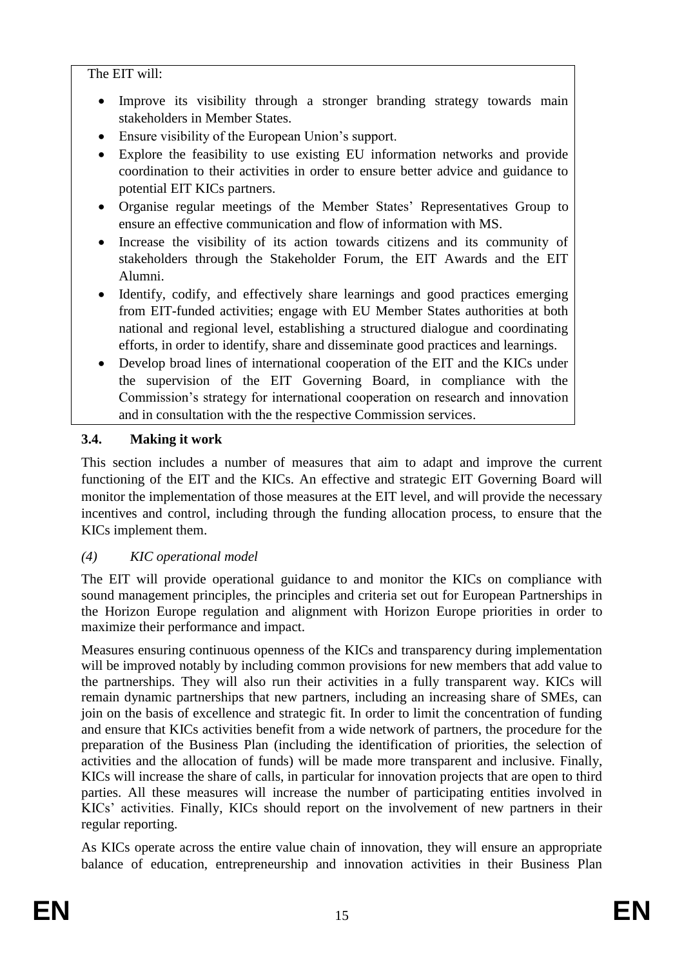The EIT will:

- Improve its visibility through a stronger branding strategy towards main stakeholders in Member States.
- Ensure visibility of the European Union's support.
- Explore the feasibility to use existing EU information networks and provide coordination to their activities in order to ensure better advice and guidance to potential EIT KICs partners.
- Organise regular meetings of the Member States' Representatives Group to ensure an effective communication and flow of information with MS.
- Increase the visibility of its action towards citizens and its community of stakeholders through the Stakeholder Forum, the EIT Awards and the EIT Alumni.
- Identify, codify, and effectively share learnings and good practices emerging from EIT-funded activities; engage with EU Member States authorities at both national and regional level, establishing a structured dialogue and coordinating efforts, in order to identify, share and disseminate good practices and learnings.
- Develop broad lines of international cooperation of the EIT and the KICs under the supervision of the EIT Governing Board, in compliance with the Commission's strategy for international cooperation on research and innovation and in consultation with the the respective Commission services.

# <span id="page-15-0"></span>**3.4. Making it work**

This section includes a number of measures that aim to adapt and improve the current functioning of the EIT and the KICs. An effective and strategic EIT Governing Board will monitor the implementation of those measures at the EIT level, and will provide the necessary incentives and control, including through the funding allocation process, to ensure that the KICs implement them.

# *(4) KIC operational model*

The EIT will provide operational guidance to and monitor the KICs on compliance with sound management principles, the principles and criteria set out for European Partnerships in the Horizon Europe regulation and alignment with Horizon Europe priorities in order to maximize their performance and impact.

Measures ensuring continuous openness of the KICs and transparency during implementation will be improved notably by including common provisions for new members that add value to the partnerships. They will also run their activities in a fully transparent way. KICs will remain dynamic partnerships that new partners, including an increasing share of SMEs, can join on the basis of excellence and strategic fit. In order to limit the concentration of funding and ensure that KICs activities benefit from a wide network of partners, the procedure for the preparation of the Business Plan (including the identification of priorities, the selection of activities and the allocation of funds) will be made more transparent and inclusive. Finally, KICs will increase the share of calls, in particular for innovation projects that are open to third parties. All these measures will increase the number of participating entities involved in KICs' activities. Finally, KICs should report on the involvement of new partners in their regular reporting.

As KICs operate across the entire value chain of innovation, they will ensure an appropriate balance of education, entrepreneurship and innovation activities in their Business Plan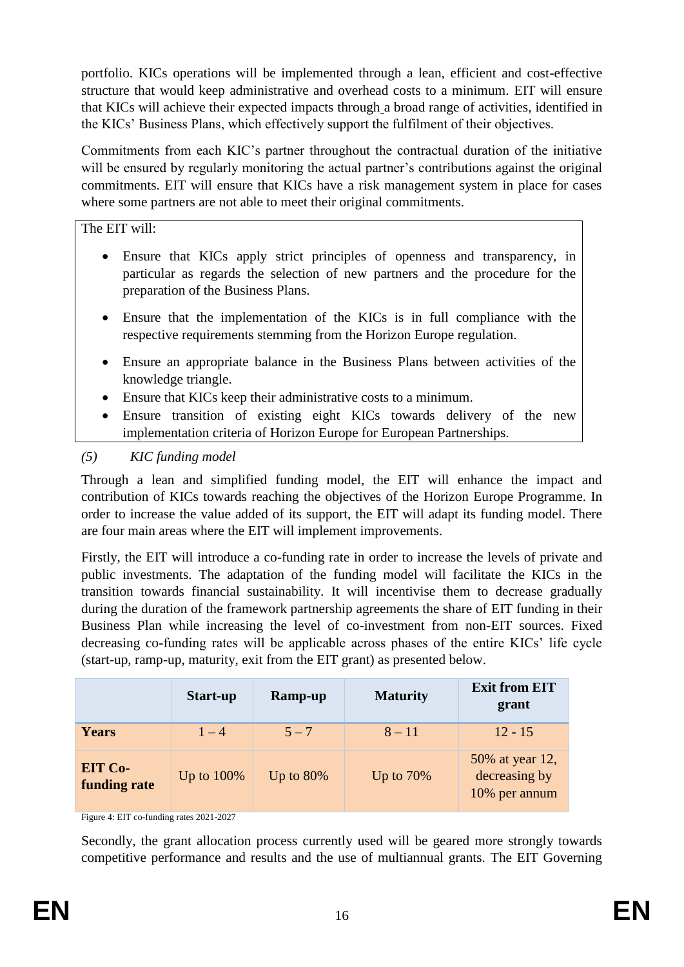portfolio. KICs operations will be implemented through a lean, efficient and cost-effective structure that would keep administrative and overhead costs to a minimum. EIT will ensure that KICs will achieve their expected impacts through a broad range of activities, identified in the KICs' Business Plans, which effectively support the fulfilment of their objectives.

Commitments from each KIC's partner throughout the contractual duration of the initiative will be ensured by regularly monitoring the actual partner's contributions against the original commitments. EIT will ensure that KICs have a risk management system in place for cases where some partners are not able to meet their original commitments.

The EIT will:

- Ensure that KICs apply strict principles of openness and transparency, in particular as regards the selection of new partners and the procedure for the preparation of the Business Plans.
- Ensure that the implementation of the KICs is in full compliance with the respective requirements stemming from the Horizon Europe regulation.
- Ensure an appropriate balance in the Business Plans between activities of the knowledge triangle.
- Ensure that KICs keep their administrative costs to a minimum.
- Ensure transition of existing eight KICs towards delivery of the new implementation criteria of Horizon Europe for European Partnerships.

## *(5) KIC funding model*

Through a lean and simplified funding model, the EIT will enhance the impact and contribution of KICs towards reaching the objectives of the Horizon Europe Programme. In order to increase the value added of its support, the EIT will adapt its funding model. There are four main areas where the EIT will implement improvements.

Firstly, the EIT will introduce a co-funding rate in order to increase the levels of private and public investments. The adaptation of the funding model will facilitate the KICs in the transition towards financial sustainability. It will incentivise them to decrease gradually during the duration of the framework partnership agreements the share of EIT funding in their Business Plan while increasing the level of co-investment from non-EIT sources. Fixed decreasing co-funding rates will be applicable across phases of the entire KICs' life cycle (start-up, ramp-up, maturity, exit from the EIT grant) as presented below.

|                                | Start-up      | <b>Ramp-up</b> | <b>Maturity</b> | <b>Exit from EIT</b><br>grant                     |
|--------------------------------|---------------|----------------|-----------------|---------------------------------------------------|
| Years                          | $1 - 4$       | $5 - 7$        | $8 - 11$        | $12 - 15$                                         |
| <b>EIT Co-</b><br>funding rate | Up to $100\%$ | Up to $80\%$   | Up to $70\%$    | 50% at year 12,<br>decreasing by<br>10% per annum |

Figure 4: EIT co-funding rates 2021-2027

Secondly, the grant allocation process currently used will be geared more strongly towards competitive performance and results and the use of multiannual grants. The EIT Governing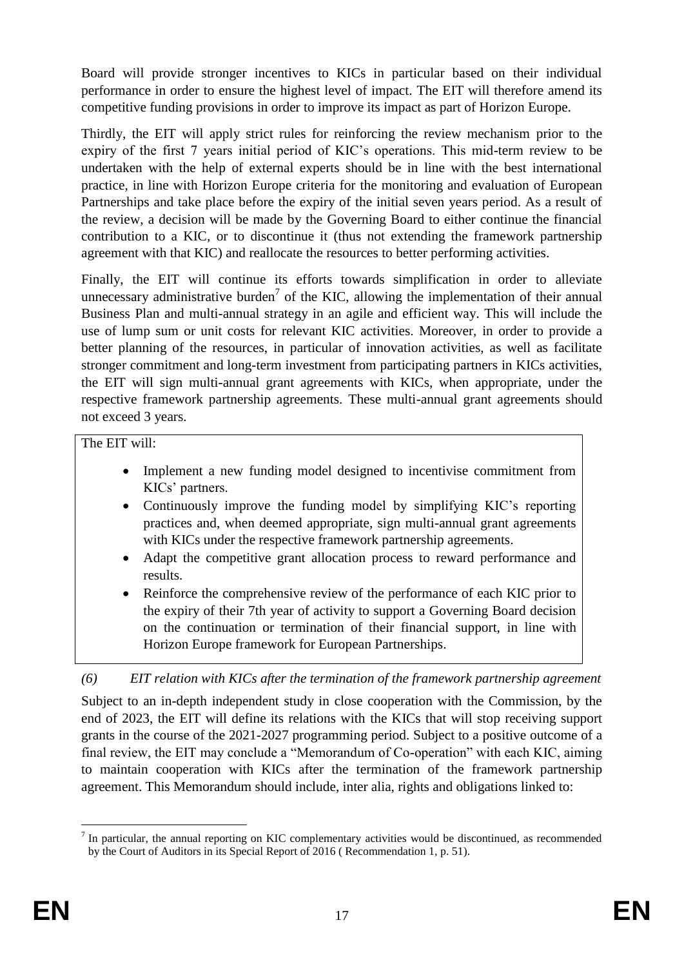Board will provide stronger incentives to KICs in particular based on their individual performance in order to ensure the highest level of impact. The EIT will therefore amend its competitive funding provisions in order to improve its impact as part of Horizon Europe.

Thirdly, the EIT will apply strict rules for reinforcing the review mechanism prior to the expiry of the first 7 years initial period of KIC's operations. This mid-term review to be undertaken with the help of external experts should be in line with the best international practice, in line with Horizon Europe criteria for the monitoring and evaluation of European Partnerships and take place before the expiry of the initial seven years period. As a result of the review, a decision will be made by the Governing Board to either continue the financial contribution to a KIC, or to discontinue it (thus not extending the framework partnership agreement with that KIC) and reallocate the resources to better performing activities.

Finally, the EIT will continue its efforts towards simplification in order to alleviate unnecessary administrative burden<sup>7</sup> of the KIC, allowing the implementation of their annual Business Plan and multi-annual strategy in an agile and efficient way. This will include the use of lump sum or unit costs for relevant KIC activities. Moreover, in order to provide a better planning of the resources, in particular of innovation activities, as well as facilitate stronger commitment and long-term investment from participating partners in KICs activities, the EIT will sign multi-annual grant agreements with KICs, when appropriate, under the respective framework partnership agreements. These multi-annual grant agreements should not exceed 3 years.

The EIT will:

- Implement a new funding model designed to incentivise commitment from KICs' partners.
- Continuously improve the funding model by simplifying KIC's reporting practices and, when deemed appropriate, sign multi-annual grant agreements with KICs under the respective framework partnership agreements.
- Adapt the competitive grant allocation process to reward performance and results.
- Reinforce the comprehensive review of the performance of each KIC prior to the expiry of their 7th year of activity to support a Governing Board decision on the continuation or termination of their financial support, in line with Horizon Europe framework for European Partnerships.

*(6) EIT relation with KICs after the termination of the framework partnership agreement*

Subject to an in-depth independent study in close cooperation with the Commission, by the end of 2023, the EIT will define its relations with the KICs that will stop receiving support grants in the course of the 2021-2027 programming period. Subject to a positive outcome of a final review, the EIT may conclude a "Memorandum of Co-operation" with each KIC, aiming to maintain cooperation with KICs after the termination of the framework partnership agreement. This Memorandum should include, inter alia, rights and obligations linked to:

<sup>&</sup>lt;u>.</u>  $<sup>7</sup>$  In particular, the annual reporting on KIC complementary activities would be discontinued, as recommended</sup> by the Court of Auditors in its Special Report of 2016 ( Recommendation 1, p. 51).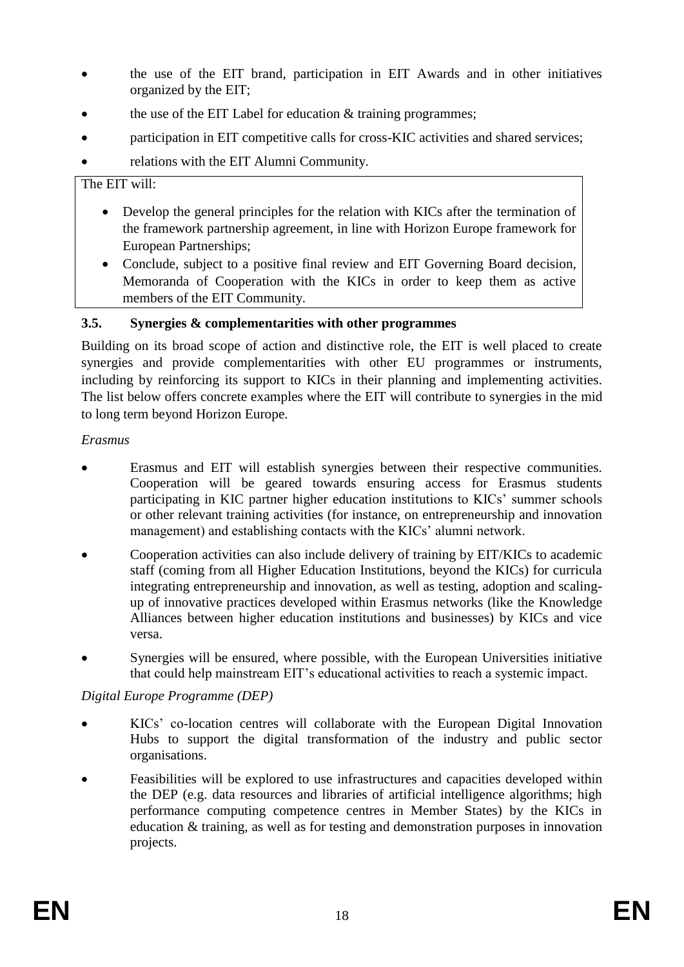- the use of the EIT brand, participation in EIT Awards and in other initiatives organized by the EIT;
- the use of the EIT Label for education & training programmes;
- participation in EIT competitive calls for cross-KIC activities and shared services;
- relations with the EIT Alumni Community.

#### The EIT will:

- Develop the general principles for the relation with KICs after the termination of the framework partnership agreement, in line with Horizon Europe framework for European Partnerships;
- Conclude, subject to a positive final review and EIT Governing Board decision, Memoranda of Cooperation with the KICs in order to keep them as active members of the EIT Community.

## <span id="page-18-0"></span>**3.5. Synergies & complementarities with other programmes**

Building on its broad scope of action and distinctive role, the EIT is well placed to create synergies and provide complementarities with other EU programmes or instruments, including by reinforcing its support to KICs in their planning and implementing activities. The list below offers concrete examples where the EIT will contribute to synergies in the mid to long term beyond Horizon Europe.

## *Erasmus*

- Erasmus and EIT will establish synergies between their respective communities. Cooperation will be geared towards ensuring access for Erasmus students participating in KIC partner higher education institutions to KICs' summer schools or other relevant training activities (for instance, on entrepreneurship and innovation management) and establishing contacts with the KICs' alumni network.
- Cooperation activities can also include delivery of training by EIT/KICs to academic staff (coming from all Higher Education Institutions, beyond the KICs) for curricula integrating entrepreneurship and innovation, as well as testing, adoption and scalingup of innovative practices developed within Erasmus networks (like the Knowledge Alliances between higher education institutions and businesses) by KICs and vice versa.
- Synergies will be ensured, where possible, with the European Universities initiative that could help mainstream EIT's educational activities to reach a systemic impact.

## *Digital Europe Programme (DEP)*

- KICs' co-location centres will collaborate with the European Digital Innovation Hubs to support the digital transformation of the industry and public sector organisations.
- Feasibilities will be explored to use infrastructures and capacities developed within the DEP (e.g. data resources and libraries of artificial intelligence algorithms; high performance computing competence centres in Member States) by the KICs in education & training, as well as for testing and demonstration purposes in innovation projects.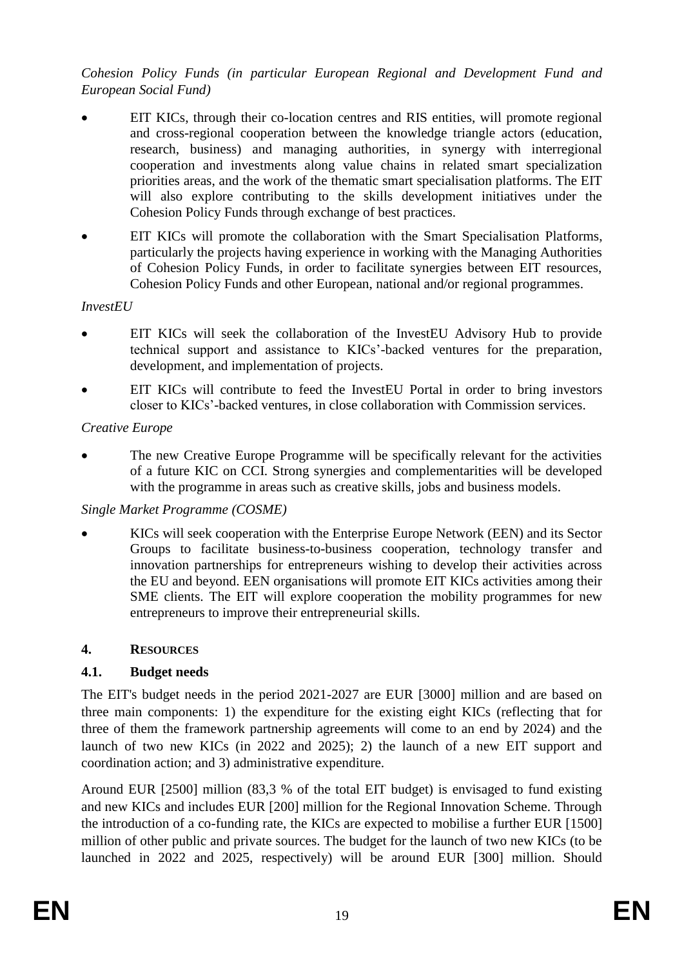*Cohesion Policy Funds (in particular European Regional and Development Fund and European Social Fund)*

- EIT KICs, through their co-location centres and RIS entities, will promote regional and cross-regional cooperation between the knowledge triangle actors (education, research, business) and managing authorities, in synergy with interregional cooperation and investments along value chains in related smart specialization priorities areas, and the work of the thematic smart specialisation platforms. The EIT will also explore contributing to the skills development initiatives under the Cohesion Policy Funds through exchange of best practices.
- EIT KICs will promote the collaboration with the Smart Specialisation Platforms, particularly the projects having experience in working with the Managing Authorities of Cohesion Policy Funds, in order to facilitate synergies between EIT resources, Cohesion Policy Funds and other European, national and/or regional programmes.

#### *InvestEU*

- EIT KICs will seek the collaboration of the InvestEU Advisory Hub to provide technical support and assistance to KICs'-backed ventures for the preparation, development, and implementation of projects.
- EIT KICs will contribute to feed the InvestEU Portal in order to bring investors closer to KICs'-backed ventures, in close collaboration with Commission services.

#### *Creative Europe*

 The new Creative Europe Programme will be specifically relevant for the activities of a future KIC on CCI. Strong synergies and complementarities will be developed with the programme in areas such as creative skills, jobs and business models.

#### *Single Market Programme (COSME)*

 KICs will seek cooperation with the Enterprise Europe Network (EEN) and its Sector Groups to facilitate business-to-business cooperation, technology transfer and innovation partnerships for entrepreneurs wishing to develop their activities across the EU and beyond. EEN organisations will promote EIT KICs activities among their SME clients. The EIT will explore cooperation the mobility programmes for new entrepreneurs to improve their entrepreneurial skills.

#### <span id="page-19-0"></span>**4. RESOURCES**

## <span id="page-19-1"></span>**4.1. Budget needs**

The EIT's budget needs in the period 2021-2027 are EUR [3000] million and are based on three main components: 1) the expenditure for the existing eight KICs (reflecting that for three of them the framework partnership agreements will come to an end by 2024) and the launch of two new KICs (in 2022 and 2025); 2) the launch of a new EIT support and coordination action; and 3) administrative expenditure.

Around EUR [2500] million (83,3 % of the total EIT budget) is envisaged to fund existing and new KICs and includes EUR [200] million for the Regional Innovation Scheme. Through the introduction of a co-funding rate, the KICs are expected to mobilise a further EUR [1500] million of other public and private sources. The budget for the launch of two new KICs (to be launched in 2022 and 2025, respectively) will be around EUR [300] million. Should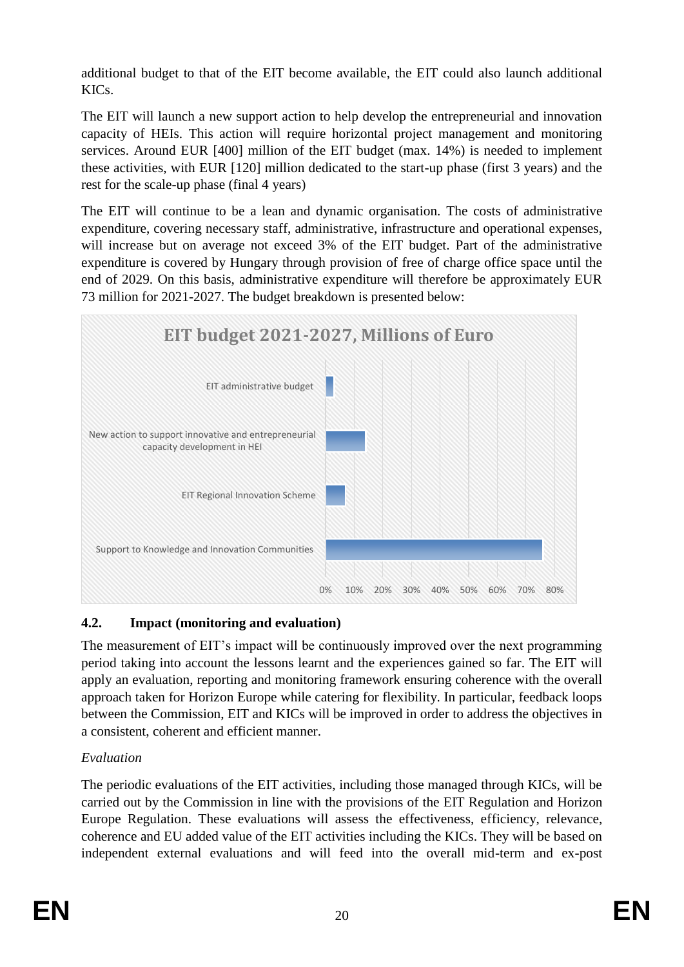additional budget to that of the EIT become available, the EIT could also launch additional KICs.

The EIT will launch a new support action to help develop the entrepreneurial and innovation capacity of HEIs. This action will require horizontal project management and monitoring services. Around EUR [400] million of the EIT budget (max. 14%) is needed to implement these activities, with EUR [120] million dedicated to the start-up phase (first 3 years) and the rest for the scale-up phase (final 4 years)

The EIT will continue to be a lean and dynamic organisation. The costs of administrative expenditure, covering necessary staff, administrative, infrastructure and operational expenses, will increase but on average not exceed 3% of the EIT budget. Part of the administrative expenditure is covered by Hungary through provision of free of charge office space until the end of 2029. On this basis, administrative expenditure will therefore be approximately EUR 73 million for 2021-2027. The budget breakdown is presented below:



# <span id="page-20-0"></span>**4.2. Impact (monitoring and evaluation)**

The measurement of EIT's impact will be continuously improved over the next programming period taking into account the lessons learnt and the experiences gained so far. The EIT will apply an evaluation, reporting and monitoring framework ensuring coherence with the overall approach taken for Horizon Europe while catering for flexibility. In particular, feedback loops between the Commission, EIT and KICs will be improved in order to address the objectives in a consistent, coherent and efficient manner.

# *Evaluation*

The periodic evaluations of the EIT activities, including those managed through KICs, will be carried out by the Commission in line with the provisions of the EIT Regulation and Horizon Europe Regulation. These evaluations will assess the effectiveness, efficiency, relevance, coherence and EU added value of the EIT activities including the KICs. They will be based on independent external evaluations and will feed into the overall mid-term and ex-post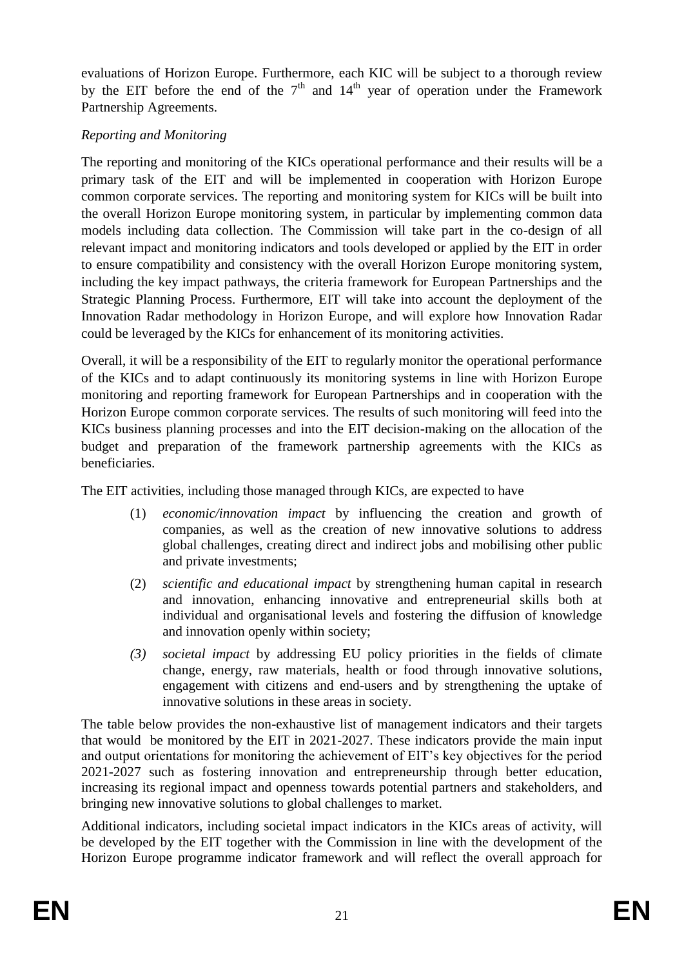evaluations of Horizon Europe. Furthermore, each KIC will be subject to a thorough review by the EIT before the end of the  $7<sup>th</sup>$  and  $14<sup>th</sup>$  year of operation under the Framework Partnership Agreements.

## *Reporting and Monitoring*

The reporting and monitoring of the KICs operational performance and their results will be a primary task of the EIT and will be implemented in cooperation with Horizon Europe common corporate services. The reporting and monitoring system for KICs will be built into the overall Horizon Europe monitoring system, in particular by implementing common data models including data collection. The Commission will take part in the co-design of all relevant impact and monitoring indicators and tools developed or applied by the EIT in order to ensure compatibility and consistency with the overall Horizon Europe monitoring system, including the key impact pathways, the criteria framework for European Partnerships and the Strategic Planning Process. Furthermore, EIT will take into account the deployment of the Innovation Radar methodology in Horizon Europe, and will explore how Innovation Radar could be leveraged by the KICs for enhancement of its monitoring activities.

Overall, it will be a responsibility of the EIT to regularly monitor the operational performance of the KICs and to adapt continuously its monitoring systems in line with Horizon Europe monitoring and reporting framework for European Partnerships and in cooperation with the Horizon Europe common corporate services. The results of such monitoring will feed into the KICs business planning processes and into the EIT decision-making on the allocation of the budget and preparation of the framework partnership agreements with the KICs as beneficiaries.

The EIT activities, including those managed through KICs, are expected to have

- (1) *economic/innovation impact* by influencing the creation and growth of companies, as well as the creation of new innovative solutions to address global challenges, creating direct and indirect jobs and mobilising other public and private investments;
- (2) *scientific and educational impact* by strengthening human capital in research and innovation, enhancing innovative and entrepreneurial skills both at individual and organisational levels and fostering the diffusion of knowledge and innovation openly within society;
- *(3) societal impact* by addressing EU policy priorities in the fields of climate change, energy, raw materials, health or food through innovative solutions, engagement with citizens and end-users and by strengthening the uptake of innovative solutions in these areas in society.

The table below provides the non-exhaustive list of management indicators and their targets that would be monitored by the EIT in 2021-2027. These indicators provide the main input and output orientations for monitoring the achievement of EIT's key objectives for the period 2021-2027 such as fostering innovation and entrepreneurship through better education, increasing its regional impact and openness towards potential partners and stakeholders, and bringing new innovative solutions to global challenges to market.

Additional indicators, including societal impact indicators in the KICs areas of activity, will be developed by the EIT together with the Commission in line with the development of the Horizon Europe programme indicator framework and will reflect the overall approach for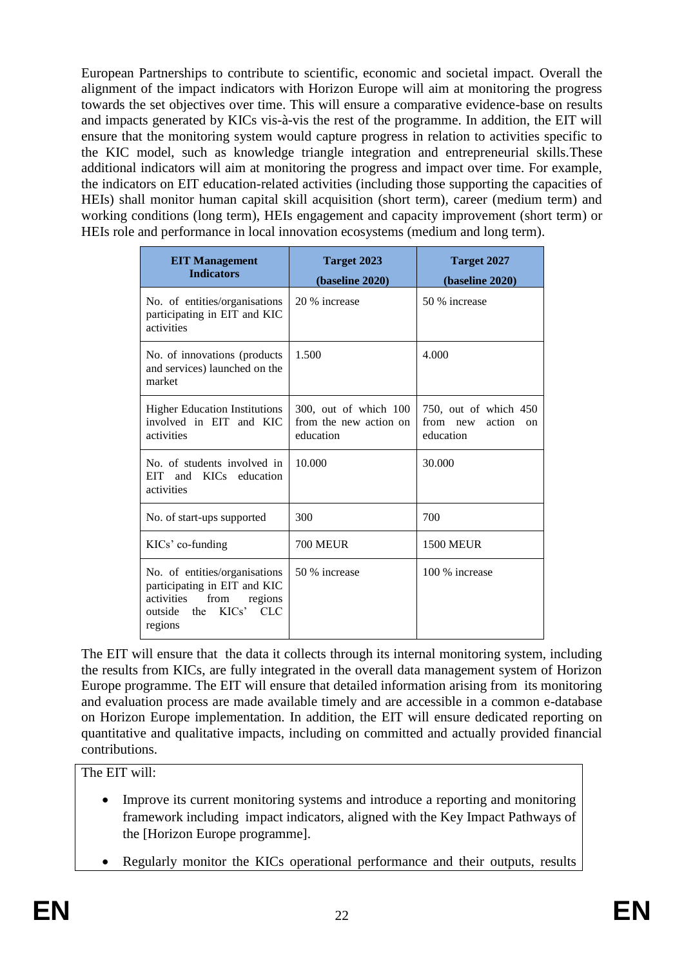European Partnerships to contribute to scientific, economic and societal impact. Overall the alignment of the impact indicators with Horizon Europe will aim at monitoring the progress towards the set objectives over time. This will ensure a comparative evidence-base on results and impacts generated by KICs vis-à-vis the rest of the programme. In addition, the EIT will ensure that the monitoring system would capture progress in relation to activities specific to the KIC model, such as knowledge triangle integration and entrepreneurial skills.These additional indicators will aim at monitoring the progress and impact over time. For example, the indicators on EIT education-related activities (including those supporting the capacities of HEIs) shall monitor human capital skill acquisition (short term), career (medium term) and working conditions (long term), HEIs engagement and capacity improvement (short term) or HEIs role and performance in local innovation ecosystems (medium and long term).

| <b>EIT Management</b><br><b>Indicators</b>                                                                                                  | Target 2023<br>(baseline 2020)                               | Target 2027<br>(baseline 2020)                                    |
|---------------------------------------------------------------------------------------------------------------------------------------------|--------------------------------------------------------------|-------------------------------------------------------------------|
| No. of entities/organisations<br>participating in EIT and KIC<br>activities                                                                 | 20 % increase                                                | 50 % increase                                                     |
| No. of innovations (products<br>and services) launched on the<br>market                                                                     | 1.500                                                        | 4.000                                                             |
| <b>Higher Education Institutions</b><br>involved in EIT and KIC<br>activities                                                               | 300, out of which 100<br>from the new action on<br>education | 750, out of which 450<br>from<br>action<br>new<br>on<br>education |
| No. of students involved in<br><b>EIT</b><br>and<br>KICs<br>education<br>activities                                                         | 10.000                                                       | 30.000                                                            |
| No. of start-ups supported                                                                                                                  | 300                                                          | 700                                                               |
| KICs' co-funding                                                                                                                            | <b>700 MEUR</b>                                              | <b>1500 MEUR</b>                                                  |
| No. of entities/organisations<br>participating in EIT and KIC<br>from<br>activities<br>regions<br>KICs'<br>CLC<br>the<br>outside<br>regions | 50 % increase                                                | 100 % increase                                                    |

The EIT will ensure that the data it collects through its internal monitoring system, including the results from KICs, are fully integrated in the overall data management system of Horizon Europe programme. The EIT will ensure that detailed information arising from its monitoring and evaluation process are made available timely and are accessible in a common e-database on Horizon Europe implementation. In addition, the EIT will ensure dedicated reporting on quantitative and qualitative impacts, including on committed and actually provided financial contributions.

The EIT will:

- Improve its current monitoring systems and introduce a reporting and monitoring framework including impact indicators, aligned with the Key Impact Pathways of the [Horizon Europe programme].
- Regularly monitor the KICs operational performance and their outputs, results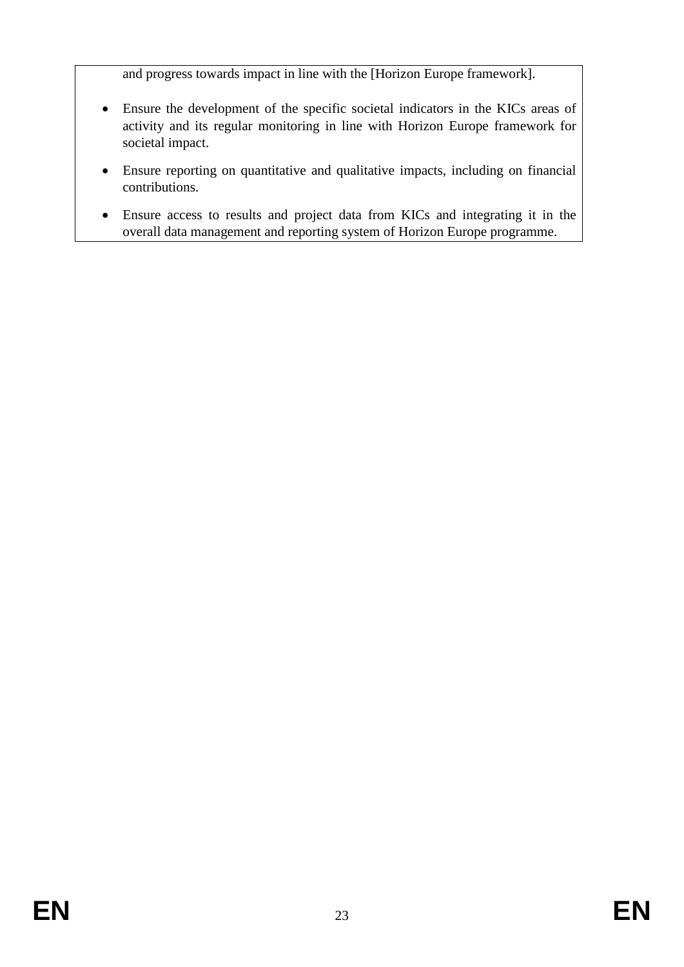and progress towards impact in line with the [Horizon Europe framework].

- Ensure the development of the specific societal indicators in the KICs areas of activity and its regular monitoring in line with Horizon Europe framework for societal impact.
- Ensure reporting on quantitative and qualitative impacts, including on financial contributions.
- Ensure access to results and project data from KICs and integrating it in the overall data management and reporting system of Horizon Europe programme.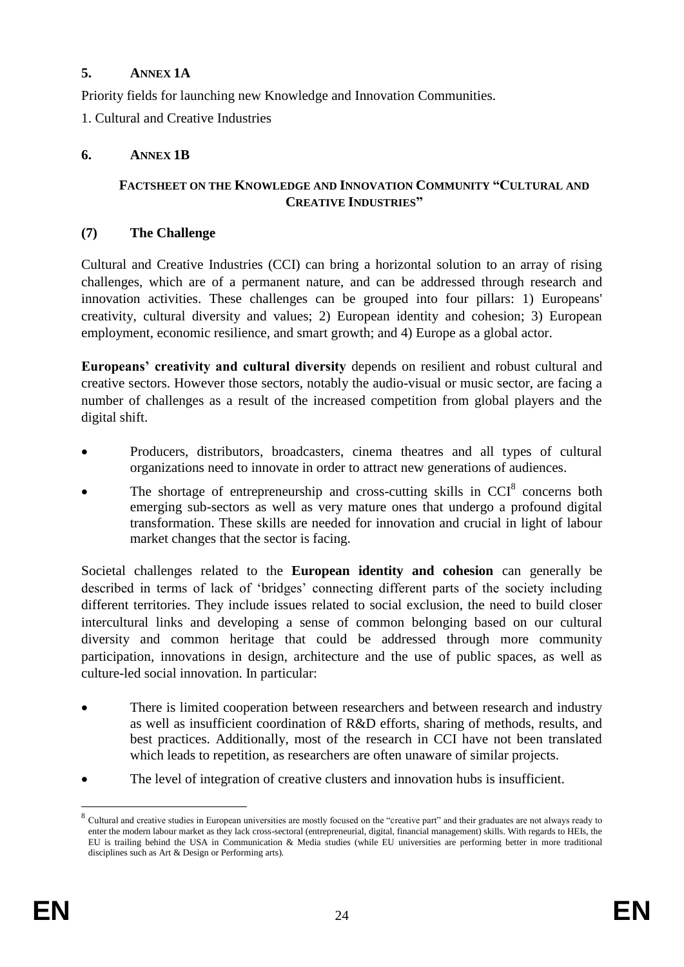#### <span id="page-24-0"></span>**5. ANNEX 1A**

Priority fields for launching new Knowledge and Innovation Communities.

1. Cultural and Creative Industries

#### <span id="page-24-1"></span>**6. ANNEX 1B**

#### **FACTSHEET ON THE KNOWLEDGE AND INNOVATION COMMUNITY "CULTURAL AND CREATIVE INDUSTRIES"**

#### **(7) The Challenge**

Cultural and Creative Industries (CCI) can bring a horizontal solution to an array of rising challenges, which are of a permanent nature, and can be addressed through research and innovation activities. These challenges can be grouped into four pillars: 1) Europeans' creativity, cultural diversity and values; 2) European identity and cohesion; 3) European employment, economic resilience, and smart growth; and 4) Europe as a global actor.

**Europeans' creativity and cultural diversity** depends on resilient and robust cultural and creative sectors. However those sectors, notably the audio-visual or music sector, are facing a number of challenges as a result of the increased competition from global players and the digital shift.

- Producers, distributors, broadcasters, cinema theatres and all types of cultural organizations need to innovate in order to attract new generations of audiences.
- The shortage of entrepreneurship and cross-cutting skills in  $CCI<sup>8</sup>$  concerns both emerging sub-sectors as well as very mature ones that undergo a profound digital transformation. These skills are needed for innovation and crucial in light of labour market changes that the sector is facing.

Societal challenges related to the **European identity and cohesion** can generally be described in terms of lack of 'bridges' connecting different parts of the society including different territories. They include issues related to social exclusion, the need to build closer intercultural links and developing a sense of common belonging based on our cultural diversity and common heritage that could be addressed through more community participation, innovations in design, architecture and the use of public spaces, as well as culture-led social innovation. In particular:

- There is limited cooperation between researchers and between research and industry as well as insufficient coordination of R&D efforts, sharing of methods, results, and best practices. Additionally, most of the research in CCI have not been translated which leads to repetition, as researchers are often unaware of similar projects.
- The level of integration of creative clusters and innovation hubs is insufficient.

<u>.</u>

<sup>8</sup> Cultural and creative studies in European universities are mostly focused on the "creative part" and their graduates are not always ready to enter the modern labour market as they lack cross-sectoral (entrepreneurial, digital, financial management) skills. With regards to HEIs, the EU is trailing behind the USA in Communication & Media studies (while EU universities are performing better in more traditional disciplines such as Art & Design or Performing arts).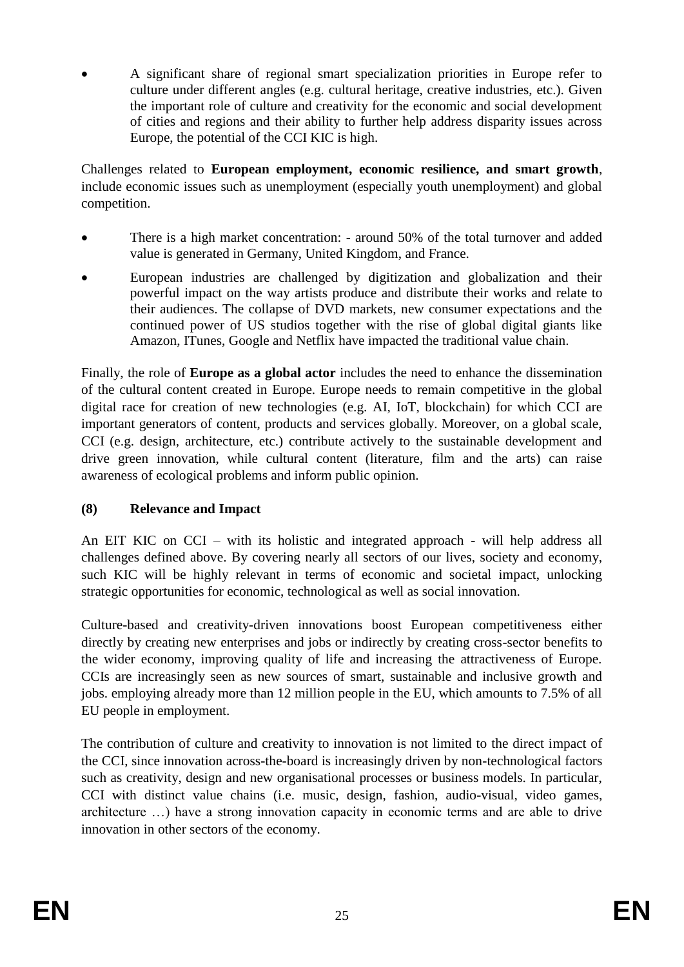A significant share of regional smart specialization priorities in Europe refer to culture under different angles (e.g. cultural heritage, creative industries, etc.). Given the important role of culture and creativity for the economic and social development of cities and regions and their ability to further help address disparity issues across Europe, the potential of the CCI KIC is high.

Challenges related to **European employment, economic resilience, and smart growth**, include economic issues such as unemployment (especially youth unemployment) and global competition.

- There is a high market concentration: around 50% of the total turnover and added value is generated in Germany, United Kingdom, and France.
- European industries are challenged by digitization and globalization and their powerful impact on the way artists produce and distribute their works and relate to their audiences. The collapse of DVD markets, new consumer expectations and the continued power of US studios together with the rise of global digital giants like Amazon, ITunes, Google and Netflix have impacted the traditional value chain.

Finally, the role of **Europe as a global actor** includes the need to enhance the dissemination of the cultural content created in Europe. Europe needs to remain competitive in the global digital race for creation of new technologies (e.g. AI, IoT, blockchain) for which CCI are important generators of content, products and services globally. Moreover, on a global scale, CCI (e.g. design, architecture, etc.) contribute actively to the sustainable development and drive green innovation, while cultural content (literature, film and the arts) can raise awareness of ecological problems and inform public opinion.

#### **(8) Relevance and Impact**

An EIT KIC on CCI – with its holistic and integrated approach - will help address all challenges defined above. By covering nearly all sectors of our lives, society and economy, such KIC will be highly relevant in terms of economic and societal impact, unlocking strategic opportunities for economic, technological as well as social innovation.

Culture-based and creativity-driven innovations boost European competitiveness either directly by creating new enterprises and jobs or indirectly by creating cross-sector benefits to the wider economy, improving quality of life and increasing the attractiveness of Europe. CCIs are increasingly seen as new sources of smart, sustainable and inclusive growth and jobs. employing already more than 12 million people in the EU, which amounts to 7.5% of all EU people in employment.

The contribution of culture and creativity to innovation is not limited to the direct impact of the CCI, since innovation across-the-board is increasingly driven by non-technological factors such as creativity, design and new organisational processes or business models. In particular, CCI with distinct value chains (i.e. music, design, fashion, audio-visual, video games, architecture …) have a strong innovation capacity in economic terms and are able to drive innovation in other sectors of the economy.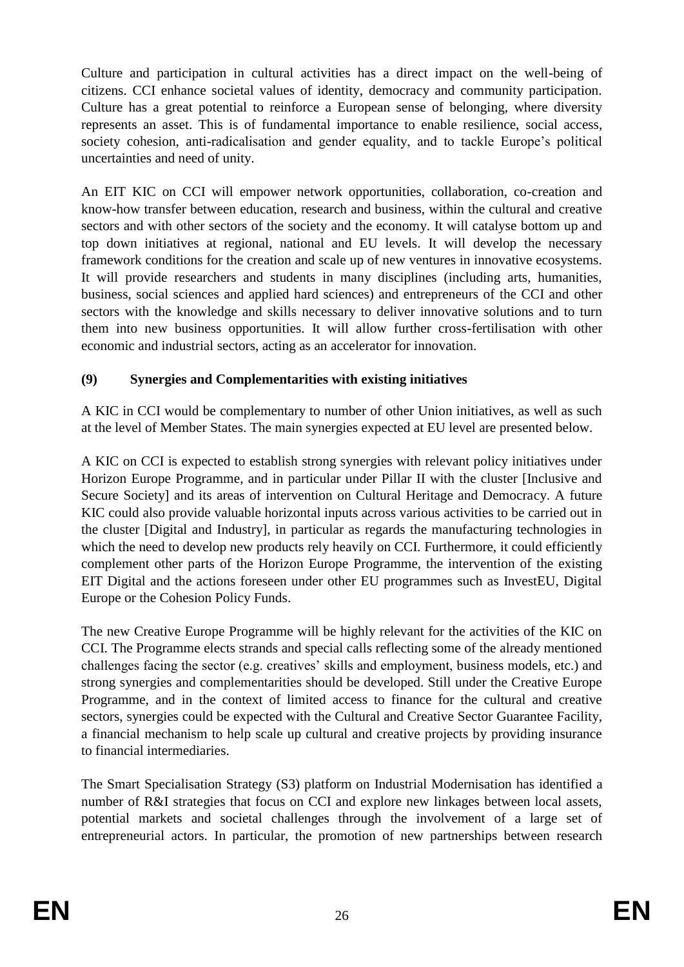Culture and participation in cultural activities has a direct impact on the well-being of citizens. CCI enhance societal values of identity, democracy and community participation. Culture has a great potential to reinforce a European sense of belonging, where diversity represents an asset. This is of fundamental importance to enable resilience, social access, society cohesion, anti-radicalisation and gender equality, and to tackle Europe's political uncertainties and need of unity.

An EIT KIC on CCI will empower network opportunities, collaboration, co-creation and know-how transfer between education, research and business, within the cultural and creative sectors and with other sectors of the society and the economy. It will catalyse bottom up and top down initiatives at regional, national and EU levels. It will develop the necessary framework conditions for the creation and scale up of new ventures in innovative ecosystems. It will provide researchers and students in many disciplines (including arts, humanities, business, social sciences and applied hard sciences) and entrepreneurs of the CCI and other sectors with the knowledge and skills necessary to deliver innovative solutions and to turn them into new business opportunities. It will allow further cross-fertilisation with other economic and industrial sectors, acting as an accelerator for innovation.

## **(9) Synergies and Complementarities with existing initiatives**

A KIC in CCI would be complementary to number of other Union initiatives, as well as such at the level of Member States. The main synergies expected at EU level are presented below.

A KIC on CCI is expected to establish strong synergies with relevant policy initiatives under Horizon Europe Programme, and in particular under Pillar II with the cluster [Inclusive and Secure Society] and its areas of intervention on Cultural Heritage and Democracy. A future KIC could also provide valuable horizontal inputs across various activities to be carried out in the cluster [Digital and Industry], in particular as regards the manufacturing technologies in which the need to develop new products rely heavily on CCI. Furthermore, it could efficiently complement other parts of the Horizon Europe Programme, the intervention of the existing EIT Digital and the actions foreseen under other EU programmes such as InvestEU, Digital Europe or the Cohesion Policy Funds.

The new Creative Europe Programme will be highly relevant for the activities of the KIC on CCI. The Programme elects strands and special calls reflecting some of the already mentioned challenges facing the sector (e.g. creatives' skills and employment, business models, etc.) and strong synergies and complementarities should be developed. Still under the Creative Europe Programme, and in the context of limited access to finance for the cultural and creative sectors, synergies could be expected with the Cultural and Creative Sector Guarantee Facility, a financial mechanism to help scale up cultural and creative projects by providing insurance to financial intermediaries.

The Smart Specialisation Strategy (S3) platform on Industrial Modernisation has identified a number of R&I strategies that focus on CCI and explore new linkages between local assets, potential markets and societal challenges through the involvement of a large set of entrepreneurial actors. In particular, the promotion of new partnerships between research